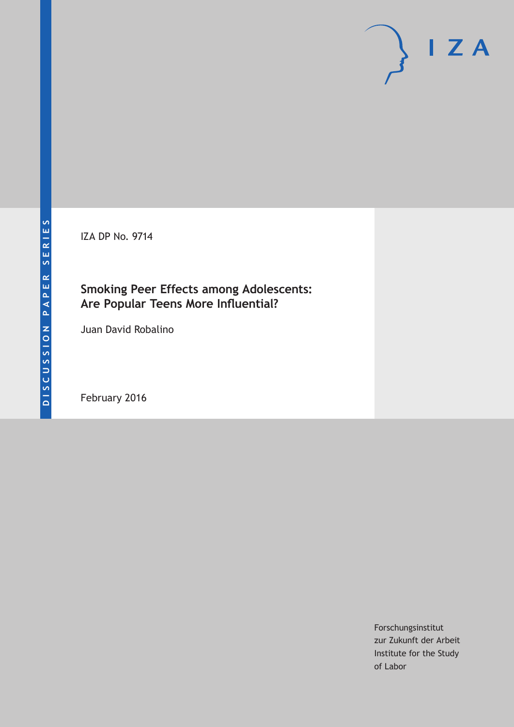IZA DP No. 9714

# **Smoking Peer Effects among Adolescents: Are Popular Teens More Influential?**

Juan David Robalino

February 2016

Forschungsinstitut zur Zukunft der Arbeit Institute for the Study of Labor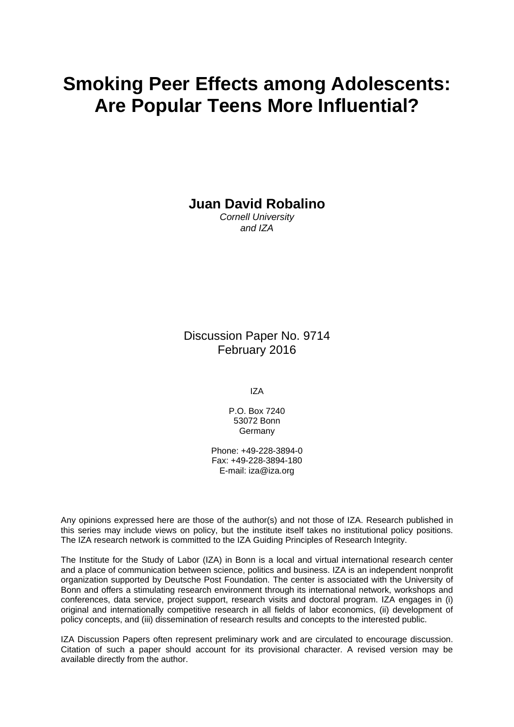# **Smoking Peer Effects among Adolescents: Are Popular Teens More Influential?**

**Juan David Robalino** 

*Cornell University and IZA* 

Discussion Paper No. 9714 February 2016

IZA

P.O. Box 7240 53072 Bonn Germany

Phone: +49-228-3894-0 Fax: +49-228-3894-180 E-mail: iza@iza.org

Any opinions expressed here are those of the author(s) and not those of IZA. Research published in this series may include views on policy, but the institute itself takes no institutional policy positions. The IZA research network is committed to the IZA Guiding Principles of Research Integrity.

The Institute for the Study of Labor (IZA) in Bonn is a local and virtual international research center and a place of communication between science, politics and business. IZA is an independent nonprofit organization supported by Deutsche Post Foundation. The center is associated with the University of Bonn and offers a stimulating research environment through its international network, workshops and conferences, data service, project support, research visits and doctoral program. IZA engages in (i) original and internationally competitive research in all fields of labor economics, (ii) development of policy concepts, and (iii) dissemination of research results and concepts to the interested public.

IZA Discussion Papers often represent preliminary work and are circulated to encourage discussion. Citation of such a paper should account for its provisional character. A revised version may be available directly from the author.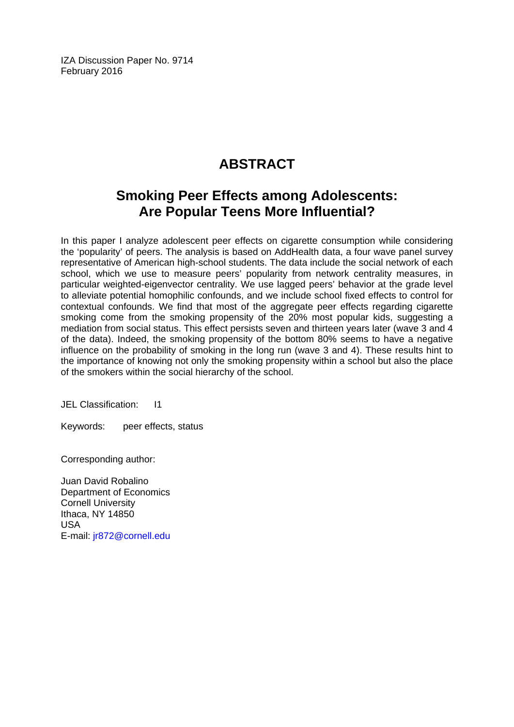IZA Discussion Paper No. 9714 February 2016

# **ABSTRACT**

# **Smoking Peer Effects among Adolescents: Are Popular Teens More Influential?**

In this paper I analyze adolescent peer effects on cigarette consumption while considering the 'popularity' of peers. The analysis is based on AddHealth data, a four wave panel survey representative of American high-school students. The data include the social network of each school, which we use to measure peers' popularity from network centrality measures, in particular weighted-eigenvector centrality. We use lagged peers' behavior at the grade level to alleviate potential homophilic confounds, and we include school fixed effects to control for contextual confounds. We find that most of the aggregate peer effects regarding cigarette smoking come from the smoking propensity of the 20% most popular kids, suggesting a mediation from social status. This effect persists seven and thirteen years later (wave 3 and 4 of the data). Indeed, the smoking propensity of the bottom 80% seems to have a negative influence on the probability of smoking in the long run (wave 3 and 4). These results hint to the importance of knowing not only the smoking propensity within a school but also the place of the smokers within the social hierarchy of the school.

JEL Classification: I1

Keywords: peer effects, status

Corresponding author:

Juan David Robalino Department of Economics Cornell University Ithaca, NY 14850 USA E-mail: jr872@cornell.edu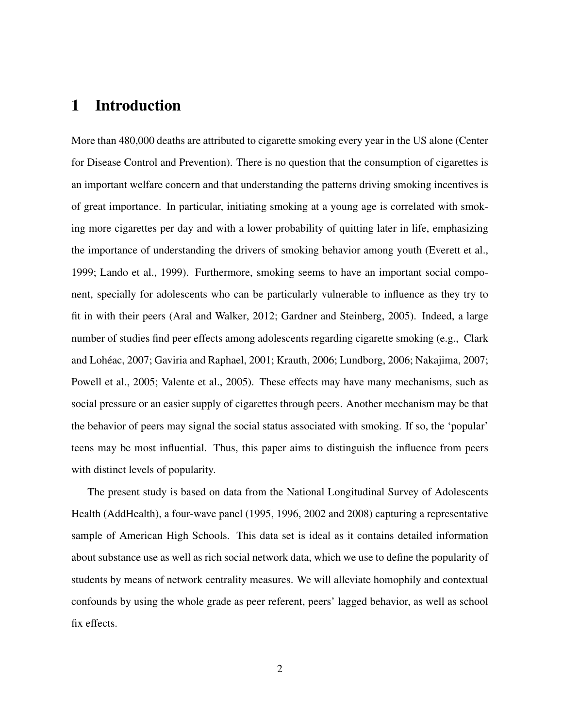### 1 Introduction

More than 480,000 deaths are attributed to cigarette smoking every year in the US alone (Center for Disease Control and Prevention). There is no question that the consumption of cigarettes is an important welfare concern and that understanding the patterns driving smoking incentives is of great importance. In particular, initiating smoking at a young age is correlated with smoking more cigarettes per day and with a lower probability of quitting later in life, emphasizing the importance of understanding the drivers of smoking behavior among youth (Everett et al., 1999; Lando et al., 1999). Furthermore, smoking seems to have an important social component, specially for adolescents who can be particularly vulnerable to influence as they try to fit in with their peers (Aral and Walker, 2012; Gardner and Steinberg, 2005). Indeed, a large number of studies find peer effects among adolescents regarding cigarette smoking (e.g., Clark and Loheac, 2007; Gaviria and Raphael, 2001; Krauth, 2006; Lundborg, 2006; Nakajima, 2007; ´ Powell et al., 2005; Valente et al., 2005). These effects may have many mechanisms, such as social pressure or an easier supply of cigarettes through peers. Another mechanism may be that the behavior of peers may signal the social status associated with smoking. If so, the 'popular' teens may be most influential. Thus, this paper aims to distinguish the influence from peers with distinct levels of popularity.

The present study is based on data from the National Longitudinal Survey of Adolescents Health (AddHealth), a four-wave panel (1995, 1996, 2002 and 2008) capturing a representative sample of American High Schools. This data set is ideal as it contains detailed information about substance use as well as rich social network data, which we use to define the popularity of students by means of network centrality measures. We will alleviate homophily and contextual confounds by using the whole grade as peer referent, peers' lagged behavior, as well as school fix effects.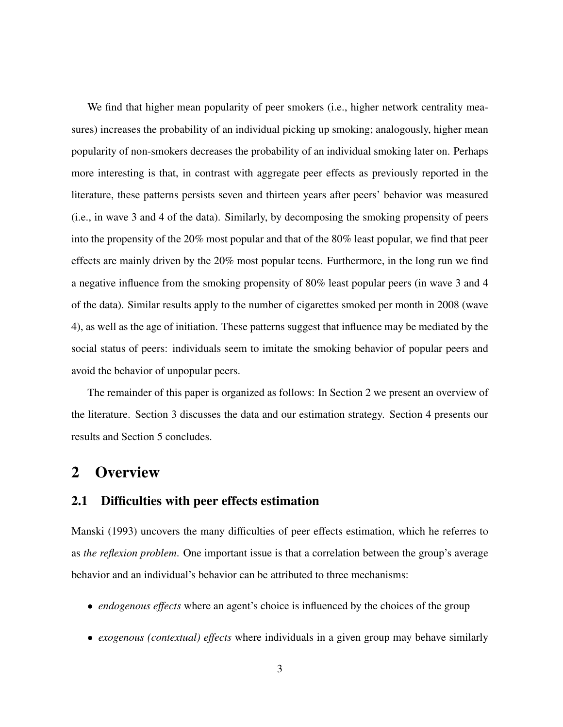We find that higher mean popularity of peer smokers (i.e., higher network centrality measures) increases the probability of an individual picking up smoking; analogously, higher mean popularity of non-smokers decreases the probability of an individual smoking later on. Perhaps more interesting is that, in contrast with aggregate peer effects as previously reported in the literature, these patterns persists seven and thirteen years after peers' behavior was measured (i.e., in wave 3 and 4 of the data). Similarly, by decomposing the smoking propensity of peers into the propensity of the 20% most popular and that of the 80% least popular, we find that peer effects are mainly driven by the 20% most popular teens. Furthermore, in the long run we find a negative influence from the smoking propensity of 80% least popular peers (in wave 3 and 4 of the data). Similar results apply to the number of cigarettes smoked per month in 2008 (wave 4), as well as the age of initiation. These patterns suggest that influence may be mediated by the social status of peers: individuals seem to imitate the smoking behavior of popular peers and avoid the behavior of unpopular peers.

The remainder of this paper is organized as follows: In Section 2 we present an overview of the literature. Section 3 discusses the data and our estimation strategy. Section 4 presents our results and Section 5 concludes.

### 2 Overview

#### 2.1 Difficulties with peer effects estimation

Manski (1993) uncovers the many difficulties of peer effects estimation, which he referres to as *the reflexion problem*. One important issue is that a correlation between the group's average behavior and an individual's behavior can be attributed to three mechanisms:

- *endogenous effects* where an agent's choice is influenced by the choices of the group
- *exogenous (contextual) effects* where individuals in a given group may behave similarly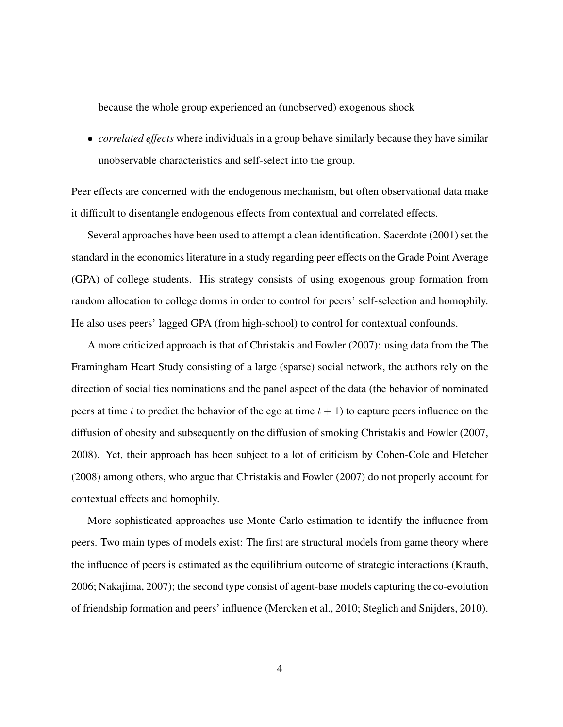because the whole group experienced an (unobserved) exogenous shock

• *correlated effects* where individuals in a group behave similarly because they have similar unobservable characteristics and self-select into the group.

Peer effects are concerned with the endogenous mechanism, but often observational data make it difficult to disentangle endogenous effects from contextual and correlated effects.

Several approaches have been used to attempt a clean identification. Sacerdote (2001) set the standard in the economics literature in a study regarding peer effects on the Grade Point Average (GPA) of college students. His strategy consists of using exogenous group formation from random allocation to college dorms in order to control for peers' self-selection and homophily. He also uses peers' lagged GPA (from high-school) to control for contextual confounds.

A more criticized approach is that of Christakis and Fowler (2007): using data from the The Framingham Heart Study consisting of a large (sparse) social network, the authors rely on the direction of social ties nominations and the panel aspect of the data (the behavior of nominated peers at time t to predict the behavior of the ego at time  $t + 1$ ) to capture peers influence on the diffusion of obesity and subsequently on the diffusion of smoking Christakis and Fowler (2007, 2008). Yet, their approach has been subject to a lot of criticism by Cohen-Cole and Fletcher (2008) among others, who argue that Christakis and Fowler (2007) do not properly account for contextual effects and homophily.

More sophisticated approaches use Monte Carlo estimation to identify the influence from peers. Two main types of models exist: The first are structural models from game theory where the influence of peers is estimated as the equilibrium outcome of strategic interactions (Krauth, 2006; Nakajima, 2007); the second type consist of agent-base models capturing the co-evolution of friendship formation and peers' influence (Mercken et al., 2010; Steglich and Snijders, 2010).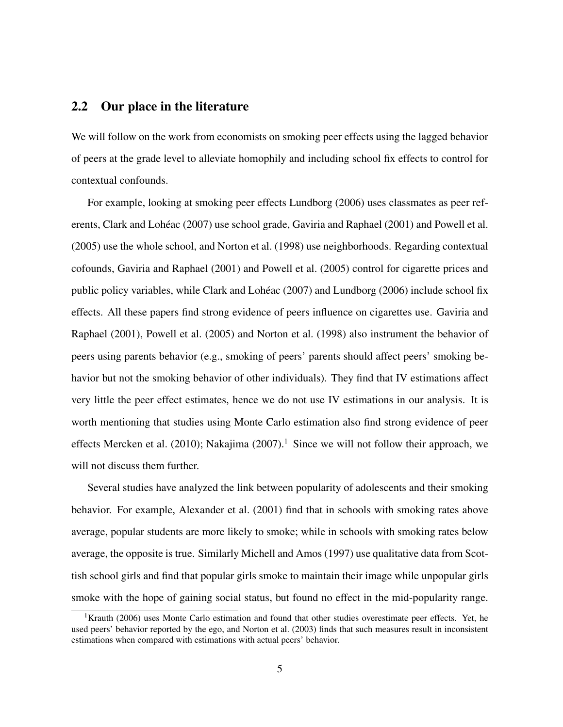#### 2.2 Our place in the literature

We will follow on the work from economists on smoking peer effects using the lagged behavior of peers at the grade level to alleviate homophily and including school fix effects to control for contextual confounds.

For example, looking at smoking peer effects Lundborg (2006) uses classmates as peer referents, Clark and Lohéac (2007) use school grade, Gaviria and Raphael (2001) and Powell et al. (2005) use the whole school, and Norton et al. (1998) use neighborhoods. Regarding contextual cofounds, Gaviria and Raphael (2001) and Powell et al. (2005) control for cigarette prices and public policy variables, while Clark and Loheac (2007) and Lundborg (2006) include school fix ´ effects. All these papers find strong evidence of peers influence on cigarettes use. Gaviria and Raphael (2001), Powell et al. (2005) and Norton et al. (1998) also instrument the behavior of peers using parents behavior (e.g., smoking of peers' parents should affect peers' smoking behavior but not the smoking behavior of other individuals). They find that IV estimations affect very little the peer effect estimates, hence we do not use IV estimations in our analysis. It is worth mentioning that studies using Monte Carlo estimation also find strong evidence of peer effects Mercken et al. (2010); Nakajima (2007).<sup>1</sup> Since we will not follow their approach, we will not discuss them further.

Several studies have analyzed the link between popularity of adolescents and their smoking behavior. For example, Alexander et al. (2001) find that in schools with smoking rates above average, popular students are more likely to smoke; while in schools with smoking rates below average, the opposite is true. Similarly Michell and Amos (1997) use qualitative data from Scottish school girls and find that popular girls smoke to maintain their image while unpopular girls smoke with the hope of gaining social status, but found no effect in the mid-popularity range.

<sup>&</sup>lt;sup>1</sup>Krauth (2006) uses Monte Carlo estimation and found that other studies overestimate peer effects. Yet, he used peers' behavior reported by the ego, and Norton et al. (2003) finds that such measures result in inconsistent estimations when compared with estimations with actual peers' behavior.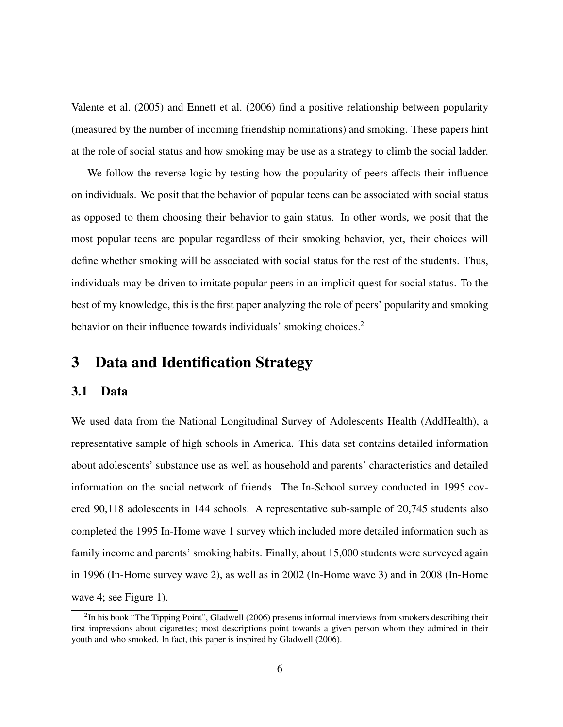Valente et al. (2005) and Ennett et al. (2006) find a positive relationship between popularity (measured by the number of incoming friendship nominations) and smoking. These papers hint at the role of social status and how smoking may be use as a strategy to climb the social ladder.

We follow the reverse logic by testing how the popularity of peers affects their influence on individuals. We posit that the behavior of popular teens can be associated with social status as opposed to them choosing their behavior to gain status. In other words, we posit that the most popular teens are popular regardless of their smoking behavior, yet, their choices will define whether smoking will be associated with social status for the rest of the students. Thus, individuals may be driven to imitate popular peers in an implicit quest for social status. To the best of my knowledge, this is the first paper analyzing the role of peers' popularity and smoking behavior on their influence towards individuals' smoking choices.<sup>2</sup>

### 3 Data and Identification Strategy

#### 3.1 Data

We used data from the National Longitudinal Survey of Adolescents Health (AddHealth), a representative sample of high schools in America. This data set contains detailed information about adolescents' substance use as well as household and parents' characteristics and detailed information on the social network of friends. The In-School survey conducted in 1995 covered 90,118 adolescents in 144 schools. A representative sub-sample of 20,745 students also completed the 1995 In-Home wave 1 survey which included more detailed information such as family income and parents' smoking habits. Finally, about 15,000 students were surveyed again in 1996 (In-Home survey wave 2), as well as in 2002 (In-Home wave 3) and in 2008 (In-Home wave 4; see Figure 1).

 $2$ In his book "The Tipping Point", Gladwell (2006) presents informal interviews from smokers describing their first impressions about cigarettes; most descriptions point towards a given person whom they admired in their youth and who smoked. In fact, this paper is inspired by Gladwell (2006).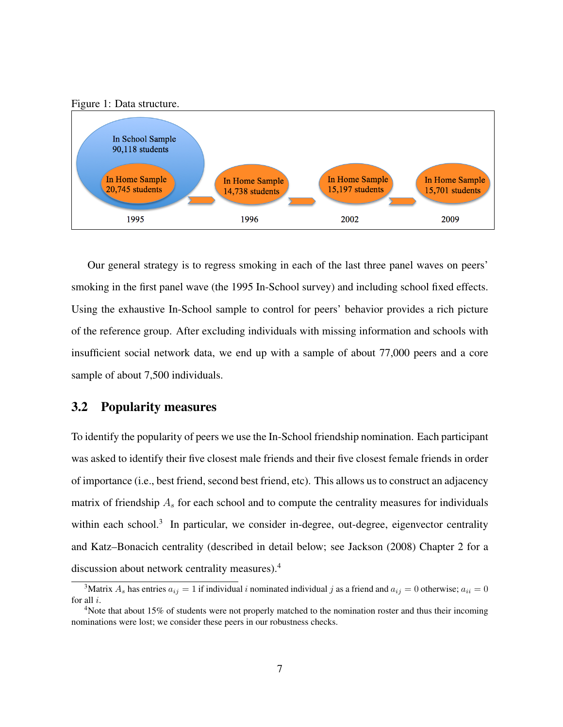



Our general strategy is to regress smoking in each of the last three panel waves on peers' smoking in the first panel wave (the 1995 In-School survey) and including school fixed effects. Using the exhaustive In-School sample to control for peers' behavior provides a rich picture of the reference group. After excluding individuals with missing information and schools with insufficient social network data, we end up with a sample of about 77,000 peers and a core sample of about 7,500 individuals.

#### 3.2 Popularity measures

To identify the popularity of peers we use the In-School friendship nomination. Each participant was asked to identify their five closest male friends and their five closest female friends in order of importance (i.e., best friend, second best friend, etc). This allows us to construct an adjacency matrix of friendship  $A_s$  for each school and to compute the centrality measures for individuals within each school.<sup>3</sup> In particular, we consider in-degree, out-degree, eigenvector centrality and Katz–Bonacich centrality (described in detail below; see Jackson (2008) Chapter 2 for a discussion about network centrality measures).<sup>4</sup>

<sup>&</sup>lt;sup>3</sup>Matrix  $A_s$  has entries  $a_{ij} = 1$  if individual i nominated individual j as a friend and  $a_{ij} = 0$  otherwise;  $a_{ii} = 0$ for all i.

<sup>&</sup>lt;sup>4</sup>Note that about 15% of students were not properly matched to the nomination roster and thus their incoming nominations were lost; we consider these peers in our robustness checks.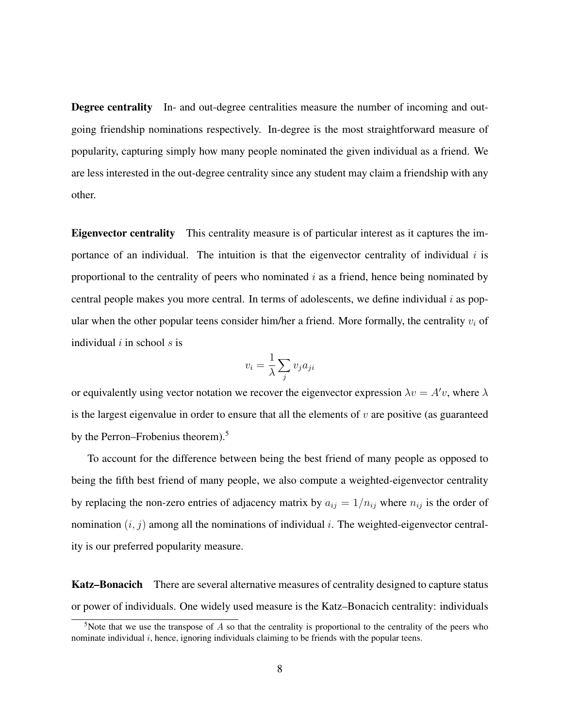Degree centrality In- and out-degree centralities measure the number of incoming and outgoing friendship nominations respectively. In-degree is the most straightforward measure of popularity, capturing simply how many people nominated the given individual as a friend. We are less interested in the out-degree centrality since any student may claim a friendship with any other.

Eigenvector centrality This centrality measure is of particular interest as it captures the importance of an individual. The intuition is that the eigenvector centrality of individual  $i$  is proportional to the centrality of peers who nominated  $i$  as a friend, hence being nominated by central people makes you more central. In terms of adolescents, we define individual  $i$  as popular when the other popular teens consider him/her a friend. More formally, the centrality  $v_i$  of individual  $i$  in school  $s$  is

$$
v_i = \frac{1}{\lambda} \sum_j v_j a_{ji}
$$

or equivalently using vector notation we recover the eigenvector expression  $\lambda v = A'v$ , where  $\lambda$ is the largest eigenvalue in order to ensure that all the elements of  $v$  are positive (as guaranteed by the Perron–Frobenius theorem).<sup>5</sup>

To account for the difference between being the best friend of many people as opposed to being the fifth best friend of many people, we also compute a weighted-eigenvector centrality by replacing the non-zero entries of adjacency matrix by  $a_{ij} = 1/n_{ij}$  where  $n_{ij}$  is the order of nomination  $(i, j)$  among all the nominations of individual i. The weighted-eigenvector centrality is our preferred popularity measure.

Katz–Bonacich There are several alternative measures of centrality designed to capture status or power of individuals. One widely used measure is the Katz–Bonacich centrality: individuals

<sup>&</sup>lt;sup>5</sup>Note that we use the transpose of A so that the centrality is proportional to the centrality of the peers who nominate individual  $i$ , hence, ignoring individuals claiming to be friends with the popular teens.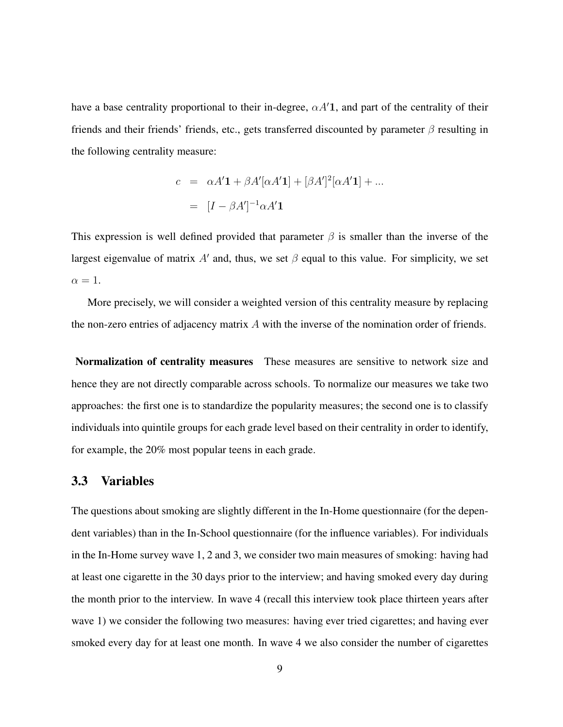have a base centrality proportional to their in-degree,  $\alpha A'$ 1, and part of the centrality of their friends and their friends' friends, etc., gets transferred discounted by parameter  $\beta$  resulting in the following centrality measure:

$$
c = \alpha A' \mathbf{1} + \beta A'[\alpha A' \mathbf{1}] + [\beta A']^2[\alpha A' \mathbf{1}] + \dots
$$

$$
= [I - \beta A']^{-1} \alpha A' \mathbf{1}
$$

This expression is well defined provided that parameter  $\beta$  is smaller than the inverse of the largest eigenvalue of matrix A' and, thus, we set  $\beta$  equal to this value. For simplicity, we set  $\alpha = 1$ .

More precisely, we will consider a weighted version of this centrality measure by replacing the non-zero entries of adjacency matrix  $\vec{A}$  with the inverse of the nomination order of friends.

Normalization of centrality measures These measures are sensitive to network size and hence they are not directly comparable across schools. To normalize our measures we take two approaches: the first one is to standardize the popularity measures; the second one is to classify individuals into quintile groups for each grade level based on their centrality in order to identify, for example, the 20% most popular teens in each grade.

#### 3.3 Variables

The questions about smoking are slightly different in the In-Home questionnaire (for the dependent variables) than in the In-School questionnaire (for the influence variables). For individuals in the In-Home survey wave 1, 2 and 3, we consider two main measures of smoking: having had at least one cigarette in the 30 days prior to the interview; and having smoked every day during the month prior to the interview. In wave 4 (recall this interview took place thirteen years after wave 1) we consider the following two measures: having ever tried cigarettes; and having ever smoked every day for at least one month. In wave 4 we also consider the number of cigarettes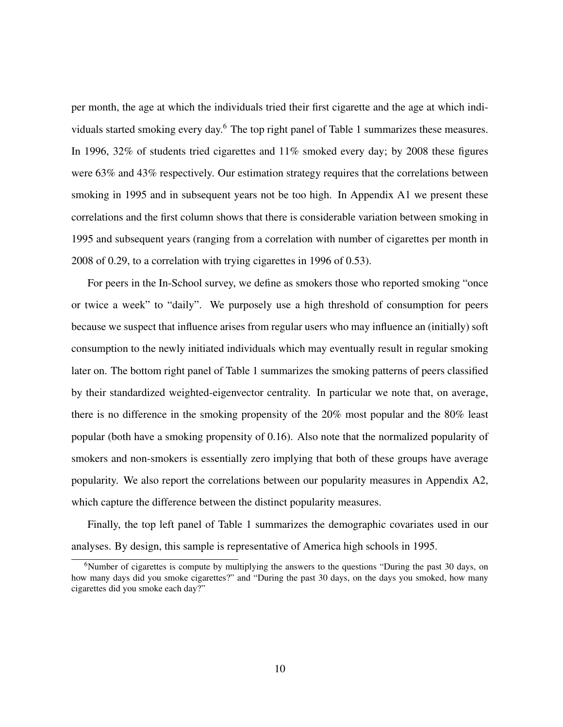per month, the age at which the individuals tried their first cigarette and the age at which individuals started smoking every day.<sup>6</sup> The top right panel of Table 1 summarizes these measures. In 1996, 32% of students tried cigarettes and 11% smoked every day; by 2008 these figures were 63% and 43% respectively. Our estimation strategy requires that the correlations between smoking in 1995 and in subsequent years not be too high. In Appendix A1 we present these correlations and the first column shows that there is considerable variation between smoking in 1995 and subsequent years (ranging from a correlation with number of cigarettes per month in 2008 of 0.29, to a correlation with trying cigarettes in 1996 of 0.53).

For peers in the In-School survey, we define as smokers those who reported smoking "once or twice a week" to "daily". We purposely use a high threshold of consumption for peers because we suspect that influence arises from regular users who may influence an (initially) soft consumption to the newly initiated individuals which may eventually result in regular smoking later on. The bottom right panel of Table 1 summarizes the smoking patterns of peers classified by their standardized weighted-eigenvector centrality. In particular we note that, on average, there is no difference in the smoking propensity of the 20% most popular and the 80% least popular (both have a smoking propensity of 0.16). Also note that the normalized popularity of smokers and non-smokers is essentially zero implying that both of these groups have average popularity. We also report the correlations between our popularity measures in Appendix A2, which capture the difference between the distinct popularity measures.

Finally, the top left panel of Table 1 summarizes the demographic covariates used in our analyses. By design, this sample is representative of America high schools in 1995.

 $6$ Number of cigarettes is compute by multiplying the answers to the questions "During the past 30 days, on how many days did you smoke cigarettes?" and "During the past 30 days, on the days you smoked, how many cigarettes did you smoke each day?"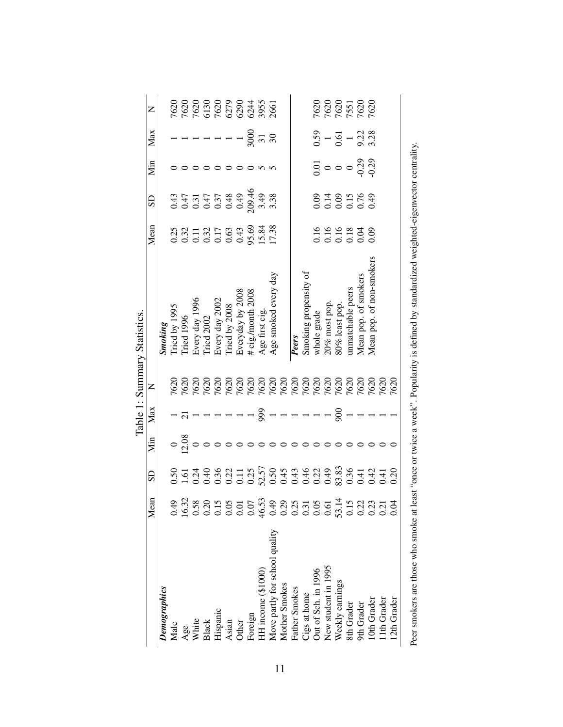|                                |                                                                                                                                                                                                                                                                                                               |             |                                       |                                                                                                                                                                                |   | Table 1: Summary Statistics.                                                                                                                                                                     |                                                                        |                                                                                                                                                                                                                                                                                              |                                                       |                                             |                                                |
|--------------------------------|---------------------------------------------------------------------------------------------------------------------------------------------------------------------------------------------------------------------------------------------------------------------------------------------------------------|-------------|---------------------------------------|--------------------------------------------------------------------------------------------------------------------------------------------------------------------------------|---|--------------------------------------------------------------------------------------------------------------------------------------------------------------------------------------------------|------------------------------------------------------------------------|----------------------------------------------------------------------------------------------------------------------------------------------------------------------------------------------------------------------------------------------------------------------------------------------|-------------------------------------------------------|---------------------------------------------|------------------------------------------------|
|                                | Mean                                                                                                                                                                                                                                                                                                          | $_{\rm SD}$ | Min                                   | Max                                                                                                                                                                            | Z |                                                                                                                                                                                                  | Mean                                                                   | SD                                                                                                                                                                                                                                                                                           | Мin                                                   | Max                                         | Z                                              |
| Demographics                   |                                                                                                                                                                                                                                                                                                               |             |                                       |                                                                                                                                                                                |   |                                                                                                                                                                                                  |                                                                        |                                                                                                                                                                                                                                                                                              |                                                       |                                             |                                                |
| Male                           | 64.0                                                                                                                                                                                                                                                                                                          |             |                                       |                                                                                                                                                                                |   |                                                                                                                                                                                                  |                                                                        |                                                                                                                                                                                                                                                                                              |                                                       |                                             |                                                |
|                                | 16.32                                                                                                                                                                                                                                                                                                         | $S_1 = 1$   | $\circ \frac{8}{3}$                   |                                                                                                                                                                                |   | <b>Smoking</b><br>Tried by 1995<br>Tried 1996<br>Every day 1996<br>Tried 2002<br>Every day 2002<br>Tried by 2008<br>Everyday by 2008<br># cig./month 2008<br># cig./month 2008<br>Age first cig. | 0.23<br>0.32<br>0.0.17<br>0.0.0.43<br>0.33<br>0.0.0.9<br>0.38<br>17.38 | $\begin{array}{l} 0\  \  \, 0\  \  \, 0\  \  \, 0\  \  \, 0\  \  \, 0\  \  \, 0\  \  \, 0\  \  \, 0\  \  \, 0\  \  \, 0\  \  \, 0\  \  \, 0\  \  \, 0\  \  \, 0\  \  \, 0\  \  \, 0\  \  \, 0\  \  \, 0\  \  \, 0\  \  \, 0\  \  \, 0\  \  \, 0\  \  \, 0\  \  \, 0\  \  \, 0\  \  \, 0\  \$ |                                                       | $- - - - - - \frac{5}{2} \times 7.8$        | 7620<br>7620 820 84<br>7620 820 84<br>7620 845 |
| Age<br>White                   |                                                                                                                                                                                                                                                                                                               |             |                                       |                                                                                                                                                                                |   |                                                                                                                                                                                                  |                                                                        |                                                                                                                                                                                                                                                                                              |                                                       |                                             |                                                |
| <b>Black</b>                   |                                                                                                                                                                                                                                                                                                               |             |                                       |                                                                                                                                                                                |   |                                                                                                                                                                                                  |                                                                        |                                                                                                                                                                                                                                                                                              |                                                       |                                             |                                                |
| Hispanic                       | $\begin{array}{l} 5880 \\ 0811 \\ 0821 \\ 0831 \\ 0841 \\ 0850 \\ 0861 \\ 0870 \\ 0881 \\ 0881 \\ 0881 \\ 0881 \\ 0881 \\ 0881 \\ 0881 \\ 0881 \\ 0881 \\ 0881 \\ 0881 \\ 0881 \\ 0881 \\ 0881 \\ 0881 \\ 0881 \\ 0881 \\ 0881 \\ 0881 \\ 0881 \\ 0881 \\ 0881 \\ 0881 \\ 0881 \\ 0881 \\ 0881 \\ 0881 \\ 08$ |             |                                       | $- - -  \frac{5}{2}$ $-$                                                                                                                                                       |   |                                                                                                                                                                                                  |                                                                        |                                                                                                                                                                                                                                                                                              |                                                       |                                             |                                                |
| Asian                          |                                                                                                                                                                                                                                                                                                               |             |                                       |                                                                                                                                                                                |   |                                                                                                                                                                                                  |                                                                        |                                                                                                                                                                                                                                                                                              |                                                       |                                             |                                                |
| Other                          |                                                                                                                                                                                                                                                                                                               |             |                                       |                                                                                                                                                                                |   |                                                                                                                                                                                                  |                                                                        |                                                                                                                                                                                                                                                                                              |                                                       |                                             |                                                |
| Foreign                        |                                                                                                                                                                                                                                                                                                               |             |                                       |                                                                                                                                                                                |   |                                                                                                                                                                                                  |                                                                        |                                                                                                                                                                                                                                                                                              |                                                       |                                             |                                                |
| HH income (\$1000)             |                                                                                                                                                                                                                                                                                                               |             |                                       |                                                                                                                                                                                |   |                                                                                                                                                                                                  |                                                                        |                                                                                                                                                                                                                                                                                              | 0000n                                                 |                                             |                                                |
| Move partly for school quality |                                                                                                                                                                                                                                                                                                               |             |                                       |                                                                                                                                                                                |   |                                                                                                                                                                                                  |                                                                        |                                                                                                                                                                                                                                                                                              |                                                       |                                             |                                                |
| Mother Smokes                  |                                                                                                                                                                                                                                                                                                               |             |                                       |                                                                                                                                                                                |   |                                                                                                                                                                                                  |                                                                        |                                                                                                                                                                                                                                                                                              |                                                       |                                             |                                                |
| Father Smokes                  |                                                                                                                                                                                                                                                                                                               |             |                                       | $\overline{\phantom{a}}$ $\overline{\phantom{a}}$ $\overline{\phantom{a}}$ $\overline{\phantom{a}}$ $\overline{\phantom{a}}$ $\overline{\phantom{a}}$ $\overline{\phantom{a}}$ |   | Peers                                                                                                                                                                                            |                                                                        |                                                                                                                                                                                                                                                                                              |                                                       |                                             |                                                |
| Cigs at home                   |                                                                                                                                                                                                                                                                                                               |             |                                       |                                                                                                                                                                                |   |                                                                                                                                                                                                  |                                                                        |                                                                                                                                                                                                                                                                                              |                                                       |                                             |                                                |
| Out of Sch. in 1996            |                                                                                                                                                                                                                                                                                                               |             | $\circ \circ \circ \circ \circ \circ$ |                                                                                                                                                                                |   | Smoking propensity of<br>whole grade                                                                                                                                                             |                                                                        |                                                                                                                                                                                                                                                                                              |                                                       |                                             |                                                |
| New student in 1995            |                                                                                                                                                                                                                                                                                                               |             |                                       |                                                                                                                                                                                |   |                                                                                                                                                                                                  |                                                                        |                                                                                                                                                                                                                                                                                              |                                                       |                                             |                                                |
| Weekly earnings                | 53.1                                                                                                                                                                                                                                                                                                          |             |                                       | $\approx$                                                                                                                                                                      |   | 20% most pop.<br>80% least pop.<br>unmatchable peers                                                                                                                                             | 0.16<br>0.16<br>0.000<br>0.000                                         |                                                                                                                                                                                                                                                                                              | $\frac{5}{10}$ $\circ$ $\frac{5}{10}$ $\frac{29}{10}$ | $rac{59}{0.51} - \frac{1}{9} - \frac{2}{3}$ | 7620<br>7620<br>7631<br>7620<br>7620           |
| 8th Grader                     |                                                                                                                                                                                                                                                                                                               |             |                                       |                                                                                                                                                                                |   |                                                                                                                                                                                                  |                                                                        |                                                                                                                                                                                                                                                                                              |                                                       |                                             |                                                |
| 9th Grader                     | $0.15$<br>$0.23$<br>$0.23$                                                                                                                                                                                                                                                                                    |             |                                       |                                                                                                                                                                                |   | Mean pop. of smokers                                                                                                                                                                             |                                                                        |                                                                                                                                                                                                                                                                                              |                                                       |                                             |                                                |
| 10th Grader                    |                                                                                                                                                                                                                                                                                                               |             |                                       |                                                                                                                                                                                |   | Mean pop. of non-smokers                                                                                                                                                                         |                                                                        |                                                                                                                                                                                                                                                                                              |                                                       |                                             |                                                |
| 1th Grader                     | 0.21                                                                                                                                                                                                                                                                                                          |             |                                       |                                                                                                                                                                                |   |                                                                                                                                                                                                  |                                                                        |                                                                                                                                                                                                                                                                                              |                                                       |                                             |                                                |
| 12th Grader                    | 0.04                                                                                                                                                                                                                                                                                                          |             |                                       |                                                                                                                                                                                |   |                                                                                                                                                                                                  |                                                                        |                                                                                                                                                                                                                                                                                              |                                                       |                                             |                                                |
|                                |                                                                                                                                                                                                                                                                                                               |             |                                       |                                                                                                                                                                                |   |                                                                                                                                                                                                  |                                                                        |                                                                                                                                                                                                                                                                                              |                                                       |                                             |                                                |

|   | į                         |
|---|---------------------------|
|   |                           |
|   |                           |
|   |                           |
|   |                           |
|   |                           |
|   |                           |
|   |                           |
|   | Ï                         |
|   |                           |
|   |                           |
|   | l                         |
|   |                           |
|   |                           |
|   |                           |
|   |                           |
|   |                           |
|   |                           |
|   |                           |
|   |                           |
|   | l                         |
|   |                           |
|   |                           |
|   |                           |
|   |                           |
|   |                           |
|   |                           |
|   |                           |
|   |                           |
|   |                           |
|   |                           |
|   |                           |
|   |                           |
|   |                           |
|   |                           |
|   | i                         |
|   |                           |
|   |                           |
|   | i                         |
|   | l                         |
|   |                           |
|   |                           |
|   | ì                         |
|   | I                         |
|   |                           |
|   | $\ddot{\phantom{a}}$<br>i |
|   |                           |
|   |                           |
|   |                           |
|   |                           |
|   |                           |
|   |                           |
|   |                           |
|   |                           |
|   |                           |
|   |                           |
|   |                           |
|   |                           |
|   |                           |
|   |                           |
|   |                           |
|   |                           |
|   |                           |
|   |                           |
|   | ċ<br>C                    |
|   | i                         |
|   |                           |
|   | ֘֝֕<br>I<br>J             |
|   | Ì<br>l                    |
|   |                           |
|   |                           |
|   | į<br>l<br>¢               |
|   | ć<br>J                    |
|   | í<br>l<br>I               |
|   |                           |
|   | ¢<br>Ì                    |
|   | į<br>č<br>Ì               |
|   | 1<br>l                    |
| ļ | $\overline{a}$<br>l<br>۱  |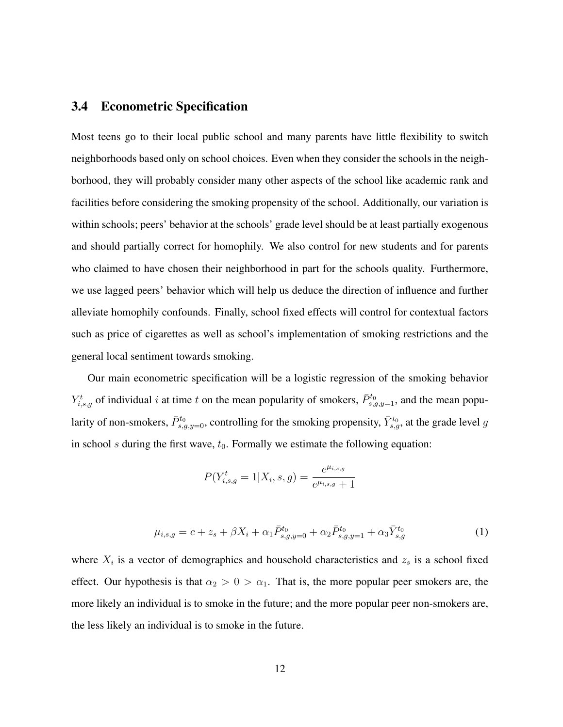#### 3.4 Econometric Specification

Most teens go to their local public school and many parents have little flexibility to switch neighborhoods based only on school choices. Even when they consider the schools in the neighborhood, they will probably consider many other aspects of the school like academic rank and facilities before considering the smoking propensity of the school. Additionally, our variation is within schools; peers' behavior at the schools' grade level should be at least partially exogenous and should partially correct for homophily. We also control for new students and for parents who claimed to have chosen their neighborhood in part for the schools quality. Furthermore, we use lagged peers' behavior which will help us deduce the direction of influence and further alleviate homophily confounds. Finally, school fixed effects will control for contextual factors such as price of cigarettes as well as school's implementation of smoking restrictions and the general local sentiment towards smoking.

Our main econometric specification will be a logistic regression of the smoking behavior  $Y_{i,s,g}^t$  of individual i at time t on the mean popularity of smokers,  $\bar{P}_{s,g,y=1}^{t_0}$ , and the mean popularity of non-smokers,  $\bar{P}^{t_0}_{s,g,y=0}$ , controlling for the smoking propensity,  $\bar{Y}^{t_0}_{s,g}$ , at the grade level  $g$ in school s during the first wave,  $t_0$ . Formally we estimate the following equation:

$$
P(Y_{i,s,g}^t = 1 | X_i, s, g) = \frac{e^{\mu_{i,s,g}}}{e^{\mu_{i,s,g}} + 1}
$$

$$
\mu_{i,s,g} = c + z_s + \beta X_i + \alpha_1 \bar{P}_{s,g,y=0}^{t_0} + \alpha_2 \bar{P}_{s,g,y=1}^{t_0} + \alpha_3 \bar{Y}_{s,g}^{t_0}
$$
(1)

where  $X_i$  is a vector of demographics and household characteristics and  $z_s$  is a school fixed effect. Our hypothesis is that  $\alpha_2 > 0 > \alpha_1$ . That is, the more popular peer smokers are, the more likely an individual is to smoke in the future; and the more popular peer non-smokers are, the less likely an individual is to smoke in the future.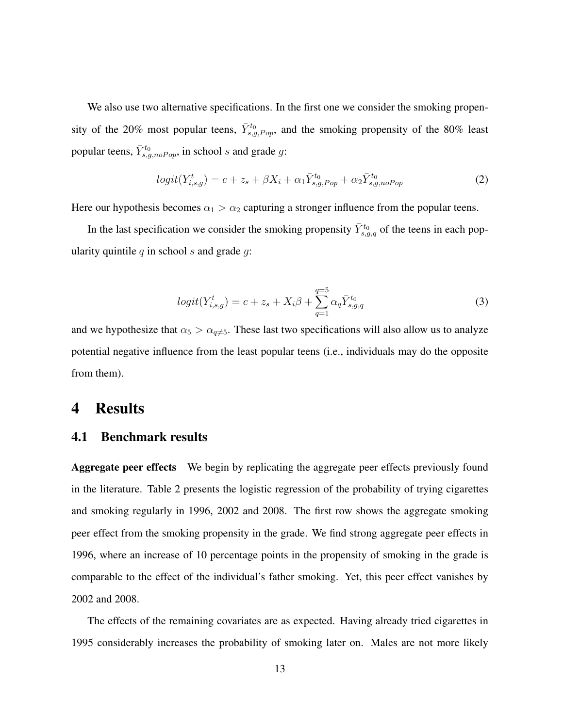We also use two alternative specifications. In the first one we consider the smoking propensity of the 20% most popular teens,  $\bar{Y}_{s,g,Pop}^{t_0}$ , and the smoking propensity of the 80% least popular teens,  $\bar{Y}_{s,g,noPop}^{t_0}$ , in school s and grade g:

$$
logit(Y_{i,s,g}^t) = c + z_s + \beta X_i + \alpha_1 \bar{Y}_{s,g,Pop}^{t_0} + \alpha_2 \bar{Y}_{s,g,noPop}^{t_0}
$$
 (2)

Here our hypothesis becomes  $\alpha_1 > \alpha_2$  capturing a stronger influence from the popular teens.

In the last specification we consider the smoking propensity  $\bar{Y}_{s,g,q}^{t_0}$  of the teens in each popularity quintile  $q$  in school  $s$  and grade  $q$ :

$$
logit(Y_{i,s,g}^t) = c + z_s + X_i \beta + \sum_{q=1}^{q=5} \alpha_q \bar{Y}_{s,g,q}^{t_0}
$$
\n(3)

and we hypothesize that  $\alpha_5 > \alpha_{q \neq 5}$ . These last two specifications will also allow us to analyze potential negative influence from the least popular teens (i.e., individuals may do the opposite from them).

### 4 Results

#### 4.1 Benchmark results

Aggregate peer effects We begin by replicating the aggregate peer effects previously found in the literature. Table 2 presents the logistic regression of the probability of trying cigarettes and smoking regularly in 1996, 2002 and 2008. The first row shows the aggregate smoking peer effect from the smoking propensity in the grade. We find strong aggregate peer effects in 1996, where an increase of 10 percentage points in the propensity of smoking in the grade is comparable to the effect of the individual's father smoking. Yet, this peer effect vanishes by 2002 and 2008.

The effects of the remaining covariates are as expected. Having already tried cigarettes in 1995 considerably increases the probability of smoking later on. Males are not more likely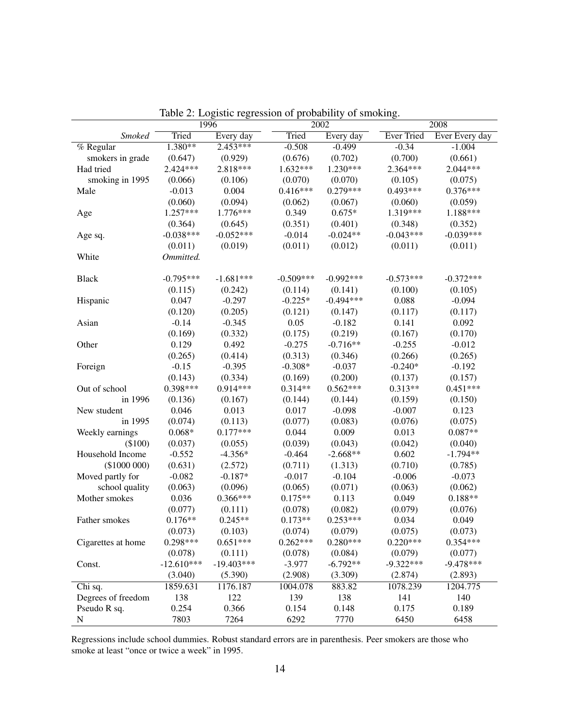|                    |              | 1996         | raoic 2. Logistic regression or probability or sinoking. | 2002             |                   | 2008                   |
|--------------------|--------------|--------------|----------------------------------------------------------|------------------|-------------------|------------------------|
| <b>Smoked</b>      | Tried        | Every day    | Tried                                                    | Every day        | <b>Ever Tried</b> | Ever Every day         |
| % Regular          | $1.380**$    | 2.453***     | $-0.508$                                                 | $-0.499$         | $-0.34$           | $-1.004$               |
| smokers in grade   | (0.647)      | (0.929)      | (0.676)                                                  | (0.702)          | (0.700)           | (0.661)                |
| Had tried          | 2.424***     | 2.818***     | 1.632***                                                 | 1.230***         | 2.364***          | 2.044***               |
| smoking in 1995    | (0.066)      | (0.106)      | (0.070)                                                  | (0.070)          | (0.105)           | (0.075)                |
| Male               | $-0.013$     | 0.004        | $0.416***$                                               | $0.279***$       | $0.493***$        | $0.376***$             |
|                    | (0.060)      | (0.094)      | (0.062)                                                  | (0.067)          | (0.060)           | (0.059)                |
|                    | 1.257***     | 1.776***     | 0.349                                                    | $0.675*$         | 1.319***          | 1.188***               |
| Age                |              |              |                                                          |                  |                   |                        |
|                    | (0.364)      | (0.645)      | (0.351)                                                  | (0.401)          | (0.348)           | (0.352)<br>$-0.039***$ |
| Age sq.            | $-0.038***$  | $-0.052***$  | $-0.014$                                                 | $-0.024**$       | $-0.043***$       |                        |
|                    | (0.011)      | (0.019)      | (0.011)                                                  | (0.012)          | (0.011)           | (0.011)                |
| White              | Ommitted.    |              |                                                          |                  |                   |                        |
| <b>Black</b>       | $-0.795***$  | $-1.681***$  | $-0.509***$                                              | $-0.992***$      | $-0.573***$       | $-0.372***$            |
|                    | (0.115)      | (0.242)      | (0.114)                                                  | (0.141)          | (0.100)           | (0.105)                |
| Hispanic           | 0.047        | $-0.297$     | $-0.225*$                                                | $-0.494***$      | 0.088             | $-0.094$               |
|                    | (0.120)      | (0.205)      | (0.121)                                                  | (0.147)          | (0.117)           | (0.117)                |
| Asian              | $-0.14$      | $-0.345$     | 0.05                                                     | $-0.182$         | 0.141             | 0.092                  |
|                    | (0.169)      | (0.332)      | (0.175)                                                  | (0.219)          | (0.167)           | (0.170)                |
| Other              | 0.129        | 0.492        | $-0.275$                                                 | $-0.716**$       | $-0.255$          | $-0.012$               |
|                    | (0.265)      | (0.414)      | (0.313)                                                  | (0.346)          | (0.266)           | (0.265)                |
| Foreign            | $-0.15$      | $-0.395$     | $-0.308*$                                                | $-0.037$         | $-0.240*$         | $-0.192$               |
|                    | (0.143)      | (0.334)      | (0.169)                                                  | (0.200)          | (0.137)           | (0.157)                |
| Out of school      | $0.398***$   | $0.914***$   | $0.314**$                                                | $0.562***$       | $0.313**$         | $0.451***$             |
| in 1996            | (0.136)      | (0.167)      | (0.144)                                                  | (0.144)          | (0.159)           | (0.150)                |
| New student        | 0.046        | 0.013        | 0.017                                                    | $-0.098$         | $-0.007$          | 0.123                  |
| in 1995            | (0.074)      | (0.113)      | (0.077)                                                  | (0.083)          | (0.076)           | (0.075)                |
| Weekly earnings    | $0.068*$     | $0.177***$   | 0.044                                                    | 0.009            | 0.013             | $0.087**$              |
| (\$100)            | (0.037)      | (0.055)      | (0.039)                                                  | (0.043)          | (0.042)           | (0.040)                |
| Household Income   | $-0.552$     | $-4.356*$    | $-0.464$                                                 | $-2.668**$       | 0.602             | $-1.794**$             |
| $(\$1000000)$      | (0.631)      | (2.572)      | (0.711)                                                  | (1.313)          | (0.710)           | (0.785)                |
| Moved partly for   | $-0.082$     | $-0.187*$    | $-0.017$                                                 | $-0.104$         | $-0.006$          | $-0.073$               |
| school quality     |              | (0.096)      |                                                          |                  | (0.063)           | (0.062)                |
|                    | (0.063)      | $0.366***$   | (0.065)                                                  | (0.071)<br>0.113 | 0.049             |                        |
| Mother smokes      | 0.036        |              | $0.175**$                                                |                  |                   | $0.188**$              |
|                    | (0.077)      | (0.111)      | (0.078)                                                  | (0.082)          | (0.079)           | (0.076)                |
| Father smokes      | $0.176**$    | $0.245**$    | $0.173**$                                                | $0.253***$       | 0.034             | 0.049                  |
|                    | (0.073)      | (0.103)      | (0.074)                                                  | (0.079)          | (0.075)           | (0.073)                |
| Cigarettes at home | $0.298***$   | $0.651***$   | $0.262***$                                               | $0.280***$       | $0.220***$        | $0.354***$             |
|                    | (0.078)      | (0.111)      | (0.078)                                                  | (0.084)          | (0.079)           | (0.077)                |
| Const.             | $-12.610***$ | $-19.403***$ | $-3.977$                                                 | $-6.792**$       | $-9.322***$       | $-9.478***$            |
|                    | (3.040)      | (5.390)      | (2.908)                                                  | (3.309)          | (2.874)           | (2.893)                |
| Chi sq.            | 1859.631     | 1176.187     | 1004.078                                                 | 883.82           | 1078.239          | 1204.775               |
| Degrees of freedom | 138          | 122          | 139                                                      | 138              | 141               | 140                    |
| Pseudo R sq.       | 0.254        | 0.366        | 0.154                                                    | 0.148            | 0.175             | 0.189                  |
| ${\bf N}$          | 7803         | 7264         | 6292                                                     | 7770             | 6450              | 6458                   |

Table 2: Logistic regression of probability of smoking.

Regressions include school dummies. Robust standard errors are in parenthesis. Peer smokers are those who smoke at least "once or twice a week" in 1995.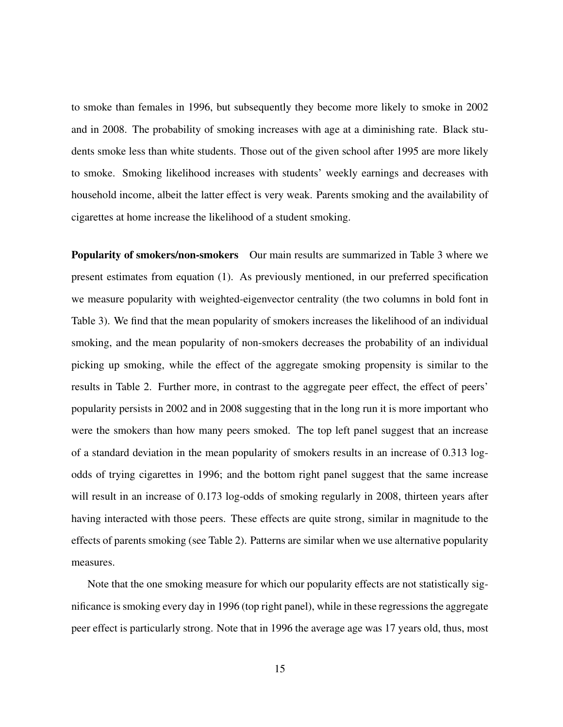to smoke than females in 1996, but subsequently they become more likely to smoke in 2002 and in 2008. The probability of smoking increases with age at a diminishing rate. Black students smoke less than white students. Those out of the given school after 1995 are more likely to smoke. Smoking likelihood increases with students' weekly earnings and decreases with household income, albeit the latter effect is very weak. Parents smoking and the availability of cigarettes at home increase the likelihood of a student smoking.

Popularity of smokers/non-smokers Our main results are summarized in Table 3 where we present estimates from equation (1). As previously mentioned, in our preferred specification we measure popularity with weighted-eigenvector centrality (the two columns in bold font in Table 3). We find that the mean popularity of smokers increases the likelihood of an individual smoking, and the mean popularity of non-smokers decreases the probability of an individual picking up smoking, while the effect of the aggregate smoking propensity is similar to the results in Table 2. Further more, in contrast to the aggregate peer effect, the effect of peers' popularity persists in 2002 and in 2008 suggesting that in the long run it is more important who were the smokers than how many peers smoked. The top left panel suggest that an increase of a standard deviation in the mean popularity of smokers results in an increase of 0.313 logodds of trying cigarettes in 1996; and the bottom right panel suggest that the same increase will result in an increase of 0.173 log-odds of smoking regularly in 2008, thirteen years after having interacted with those peers. These effects are quite strong, similar in magnitude to the effects of parents smoking (see Table 2). Patterns are similar when we use alternative popularity measures.

Note that the one smoking measure for which our popularity effects are not statistically significance is smoking every day in 1996 (top right panel), while in these regressions the aggregate peer effect is particularly strong. Note that in 1996 the average age was 17 years old, thus, most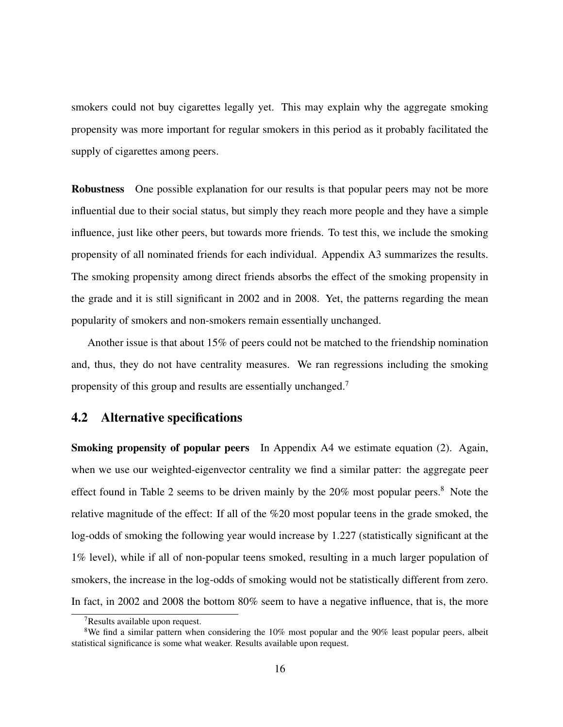smokers could not buy cigarettes legally yet. This may explain why the aggregate smoking propensity was more important for regular smokers in this period as it probably facilitated the supply of cigarettes among peers.

Robustness One possible explanation for our results is that popular peers may not be more influential due to their social status, but simply they reach more people and they have a simple influence, just like other peers, but towards more friends. To test this, we include the smoking propensity of all nominated friends for each individual. Appendix A3 summarizes the results. The smoking propensity among direct friends absorbs the effect of the smoking propensity in the grade and it is still significant in 2002 and in 2008. Yet, the patterns regarding the mean popularity of smokers and non-smokers remain essentially unchanged.

Another issue is that about 15% of peers could not be matched to the friendship nomination and, thus, they do not have centrality measures. We ran regressions including the smoking propensity of this group and results are essentially unchanged.<sup>7</sup>

#### 4.2 Alternative specifications

Smoking propensity of popular peers In Appendix A4 we estimate equation (2). Again, when we use our weighted-eigenvector centrality we find a similar patter: the aggregate peer effect found in Table 2 seems to be driven mainly by the 20% most popular peers.<sup>8</sup> Note the relative magnitude of the effect: If all of the %20 most popular teens in the grade smoked, the log-odds of smoking the following year would increase by 1.227 (statistically significant at the 1% level), while if all of non-popular teens smoked, resulting in a much larger population of smokers, the increase in the log-odds of smoking would not be statistically different from zero. In fact, in 2002 and 2008 the bottom 80% seem to have a negative influence, that is, the more

<sup>7</sup>Results available upon request.

<sup>&</sup>lt;sup>8</sup>We find a similar pattern when considering the  $10\%$  most popular and the 90% least popular peers, albeit statistical significance is some what weaker. Results available upon request.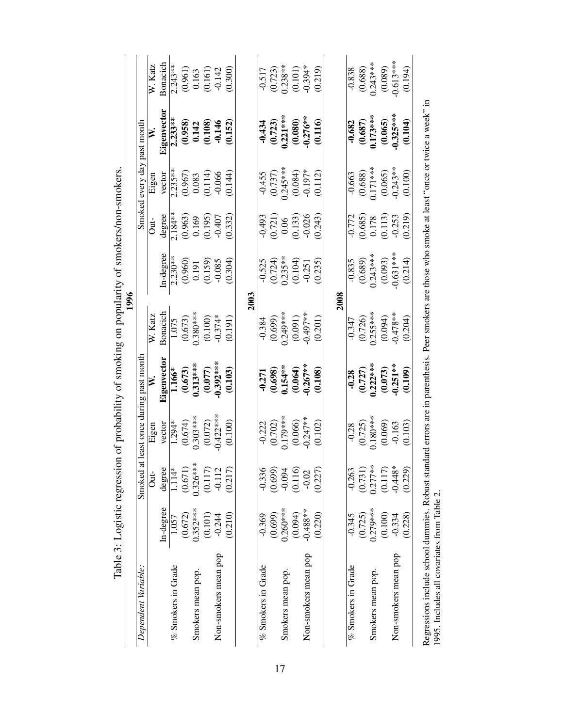|                                                                                                                                                                                                   |            |            |                         | complete momentum is a series of the moment of the series of the moment | 1996                                        |                                                                                                 | <b>CITANALISM IN STANDERS</b>                             |                                                                      |                                                                         |                                                                              |
|---------------------------------------------------------------------------------------------------------------------------------------------------------------------------------------------------|------------|------------|-------------------------|-------------------------------------------------------------------------|---------------------------------------------|-------------------------------------------------------------------------------------------------|-----------------------------------------------------------|----------------------------------------------------------------------|-------------------------------------------------------------------------|------------------------------------------------------------------------------|
| Dependent Variable:                                                                                                                                                                               |            | Smoked at  |                         | least once during past month                                            |                                             |                                                                                                 |                                                           | Smoked every day past month                                          |                                                                         |                                                                              |
|                                                                                                                                                                                                   |            | Out-       | Eigen                   |                                                                         | $W$ . Katz                                  |                                                                                                 | $\frac{1}{2}$                                             | Eigen                                                                | ≽                                                                       | W. Katz                                                                      |
|                                                                                                                                                                                                   | In-degree  | degree     | vector                  | Eigenvector                                                             | Bonacich                                    | In-degree                                                                                       | degree                                                    | vector                                                               | Eigenvector                                                             | Bonacich                                                                     |
| % Smokers in Grade                                                                                                                                                                                | 1.057      | 1.114*     | $1.294*$                | 1.166*                                                                  | 1.075                                       | $2.230**$                                                                                       | $2.184**$                                                 | $2.235***$                                                           | $2.233**$                                                               | $2.243**$                                                                    |
|                                                                                                                                                                                                   | (0.672)    | (0.671)    |                         |                                                                         |                                             |                                                                                                 |                                                           |                                                                      |                                                                         |                                                                              |
| Smokers mean pop.                                                                                                                                                                                 | $0.352***$ | $0.326***$ | $(0.674)$<br>0.303****  | $\frac{(0.673)}{0.313***}$                                              | $(0.673)$<br>0.380***<br>(0.100)<br>(0.100) | $\begin{array}{c} (0.960) \\ 0.191 \\ (0.159) \\ -0.085 \end{array}$                            | $(0.963)$<br>0.169<br>0.195)<br>0.407                     | $\begin{array}{c} (0.967) \\ 0.083 \\ (0.114) \\ -0.066 \end{array}$ | $(0.958)$<br>0.142<br>0.108)<br>0.152)<br>0.152)                        | $\begin{array}{c} (0.961) \\ 0.163 \\ (0.161) \\ 0.142 \\ 0.300 \end{array}$ |
|                                                                                                                                                                                                   | (0.101)    | (0.117)    | (0.072)                 | (0.077)                                                                 |                                             |                                                                                                 |                                                           |                                                                      |                                                                         |                                                                              |
| Non-smokers mean pop                                                                                                                                                                              | $-0.244$   | $-0.112$   | $-0.422***$             | $-0.392***$                                                             |                                             |                                                                                                 |                                                           |                                                                      |                                                                         |                                                                              |
|                                                                                                                                                                                                   | (0.210)    | (0.217)    | (0.100)                 | (0.103)                                                                 | (0.191)                                     | (0.304)                                                                                         | (0.332)                                                   | (0.144)                                                              |                                                                         |                                                                              |
|                                                                                                                                                                                                   |            |            |                         |                                                                         | 2003                                        |                                                                                                 |                                                           |                                                                      |                                                                         |                                                                              |
| % Smokers in Grade                                                                                                                                                                                | $-0.369$   | $-0.336$   | $-0.222$                | $-0.271$                                                                | $-0.384$                                    |                                                                                                 |                                                           |                                                                      |                                                                         |                                                                              |
|                                                                                                                                                                                                   | (0.699)    | (0.699)    | $(0.702)$<br>0.179***   |                                                                         | (0.699)                                     |                                                                                                 |                                                           |                                                                      | $\overline{\begin{array}{c} -0.434 \\ (0.723) \\ 0.221*** \end{array}}$ | $\frac{0.517}{(0.723)}$<br>0.238**                                           |
| Smokers mean pop.                                                                                                                                                                                 | $0.260***$ | $-0.094$   |                         | $(0.698)$<br>0.154**                                                    | $0.249***$                                  |                                                                                                 |                                                           |                                                                      |                                                                         |                                                                              |
|                                                                                                                                                                                                   | (10.094)   | (0.116)    | $(0.066)$<br>$-0.247**$ | $(0.064)$<br>$-0.267***$                                                | $(0.091)$<br>$-0.497**$                     | $-0.525$<br>$(0.724)$<br>$0.235**$<br>$(0.104)$<br>$-0.251$                                     | $-0.493$<br>$(0.721)$<br>$0.06$<br>$(0.133)$<br>$-0.026$  | $\frac{1}{10.455}$<br>(0.737)<br>0.245***<br>0.084)<br>0.197*        | $(0.080)$<br>$-0.276***$                                                | $(0.101)$<br>$-0.394*$                                                       |
| Non-smokers mean pop                                                                                                                                                                              | $-0.488**$ | $-0.02$    |                         |                                                                         |                                             |                                                                                                 |                                                           |                                                                      |                                                                         |                                                                              |
|                                                                                                                                                                                                   | (0.220)    | (0.227)    | (0.102)                 | (0.108)                                                                 | (0.201)                                     | (0.235)                                                                                         | (0.243)                                                   | (0.112)                                                              | (0.116)                                                                 | (0.219)                                                                      |
|                                                                                                                                                                                                   |            |            |                         |                                                                         | 2008                                        |                                                                                                 |                                                           |                                                                      |                                                                         |                                                                              |
| $%$ Smokers in Grade                                                                                                                                                                              | $-0.345$   | $-0.263$   | $-0.28$                 |                                                                         | $-0.347$                                    | $-0.835$                                                                                        |                                                           | $-0.663$                                                             |                                                                         | $-0.838$                                                                     |
|                                                                                                                                                                                                   | (0.725)    | (0.731)    | $(0.725)$<br>0.180***   | $\overline{\begin{array}{c} -0.28 \\ (0.727) \\ 0.222*** \end{array}}$  | $(0.726)$<br>0.255***                       | $\begin{array}{c} (0.689) \\ 0.243*** \\ (0.093) \\ (0.093) \\ (6.31*** \\ (0.214) \end{array}$ | $-0.772$<br>$(0.685)$<br>$0.178$<br>$(0.113)$<br>$-0.253$ | $(0.688)$<br>0.171***                                                | $\begin{array}{c} -0.682 \\ (0.687) \\ 0.173*** \end{array}$            | $(0.688)$<br>0.243***                                                        |
| Smokers mean pop.                                                                                                                                                                                 | $0.279***$ | $0.277***$ |                         |                                                                         |                                             |                                                                                                 |                                                           |                                                                      |                                                                         |                                                                              |
|                                                                                                                                                                                                   | (0.100)    | (0.117)    | $(0.069)$<br>$-0.163$   | $(0.073)$<br>$-0.251***$                                                | $(0.094)$<br>$-0.478**$                     |                                                                                                 |                                                           | $(0.065)$<br>$-0.243**$                                              | $(0.065)$<br>$-0.325***$                                                | $(0.089)$<br>$-0.613***$                                                     |
| Non-smokers mean pop                                                                                                                                                                              | $-0.334$   | $-0.448*$  |                         |                                                                         |                                             |                                                                                                 |                                                           |                                                                      |                                                                         |                                                                              |
|                                                                                                                                                                                                   | (0.228)    | (0.229)    | (0.103)                 | (0.109)                                                                 | (0.204)                                     |                                                                                                 | (0.219)                                                   | (0.100)                                                              | (0.104)                                                                 | (0.194)                                                                      |
| Regressions include school dummies. Robust standard errors are in parenthesis. Peer smokers are those who smoke at least "once or twice a week" in<br>1995. Includes all covariates from Table 2. |            |            |                         |                                                                         |                                             |                                                                                                 |                                                           |                                                                      |                                                                         |                                                                              |
|                                                                                                                                                                                                   |            |            |                         |                                                                         |                                             |                                                                                                 |                                                           |                                                                      |                                                                         |                                                                              |

Table 3: Logistic regression of probability of smoking on popularity of smokers/non-smokers. Table 3: Logistic regression of probability of smoking on popularity of smokers/non-smokers.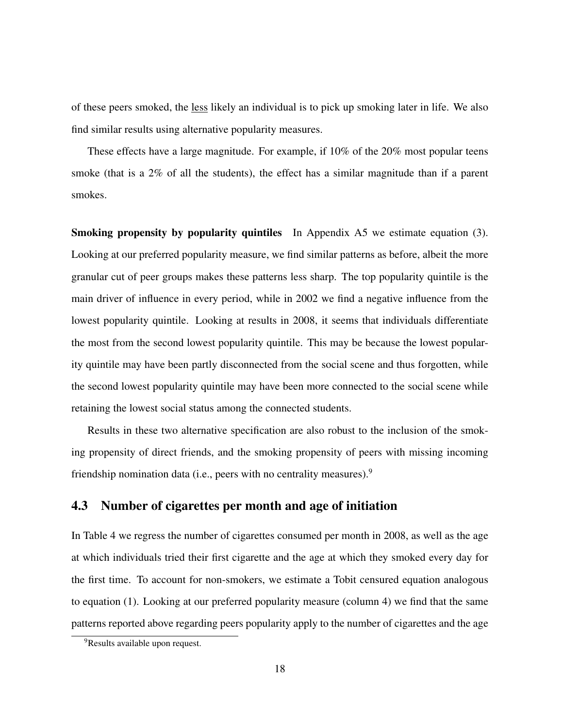of these peers smoked, the less likely an individual is to pick up smoking later in life. We also find similar results using alternative popularity measures.

These effects have a large magnitude. For example, if 10% of the 20% most popular teens smoke (that is a 2% of all the students), the effect has a similar magnitude than if a parent smokes.

Smoking propensity by popularity quintiles In Appendix A5 we estimate equation (3). Looking at our preferred popularity measure, we find similar patterns as before, albeit the more granular cut of peer groups makes these patterns less sharp. The top popularity quintile is the main driver of influence in every period, while in 2002 we find a negative influence from the lowest popularity quintile. Looking at results in 2008, it seems that individuals differentiate the most from the second lowest popularity quintile. This may be because the lowest popularity quintile may have been partly disconnected from the social scene and thus forgotten, while the second lowest popularity quintile may have been more connected to the social scene while retaining the lowest social status among the connected students.

Results in these two alternative specification are also robust to the inclusion of the smoking propensity of direct friends, and the smoking propensity of peers with missing incoming friendship nomination data (i.e., peers with no centrality measures). $9$ 

### 4.3 Number of cigarettes per month and age of initiation

In Table 4 we regress the number of cigarettes consumed per month in 2008, as well as the age at which individuals tried their first cigarette and the age at which they smoked every day for the first time. To account for non-smokers, we estimate a Tobit censured equation analogous to equation (1). Looking at our preferred popularity measure (column 4) we find that the same patterns reported above regarding peers popularity apply to the number of cigarettes and the age

<sup>&</sup>lt;sup>9</sup>Results available upon request.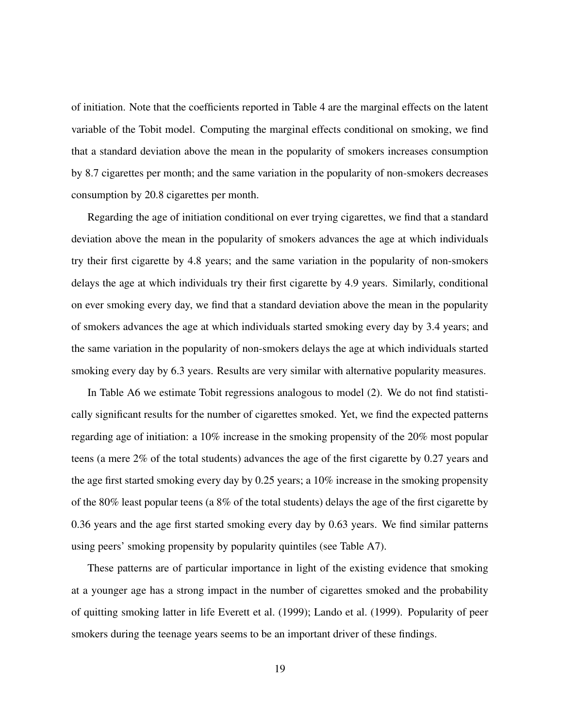of initiation. Note that the coefficients reported in Table 4 are the marginal effects on the latent variable of the Tobit model. Computing the marginal effects conditional on smoking, we find that a standard deviation above the mean in the popularity of smokers increases consumption by 8.7 cigarettes per month; and the same variation in the popularity of non-smokers decreases consumption by 20.8 cigarettes per month.

Regarding the age of initiation conditional on ever trying cigarettes, we find that a standard deviation above the mean in the popularity of smokers advances the age at which individuals try their first cigarette by 4.8 years; and the same variation in the popularity of non-smokers delays the age at which individuals try their first cigarette by 4.9 years. Similarly, conditional on ever smoking every day, we find that a standard deviation above the mean in the popularity of smokers advances the age at which individuals started smoking every day by 3.4 years; and the same variation in the popularity of non-smokers delays the age at which individuals started smoking every day by 6.3 years. Results are very similar with alternative popularity measures.

In Table A6 we estimate Tobit regressions analogous to model (2). We do not find statistically significant results for the number of cigarettes smoked. Yet, we find the expected patterns regarding age of initiation: a 10% increase in the smoking propensity of the 20% most popular teens (a mere 2% of the total students) advances the age of the first cigarette by 0.27 years and the age first started smoking every day by 0.25 years; a 10% increase in the smoking propensity of the 80% least popular teens (a 8% of the total students) delays the age of the first cigarette by 0.36 years and the age first started smoking every day by 0.63 years. We find similar patterns using peers' smoking propensity by popularity quintiles (see Table A7).

These patterns are of particular importance in light of the existing evidence that smoking at a younger age has a strong impact in the number of cigarettes smoked and the probability of quitting smoking latter in life Everett et al. (1999); Lando et al. (1999). Popularity of peer smokers during the teenage years seems to be an important driver of these findings.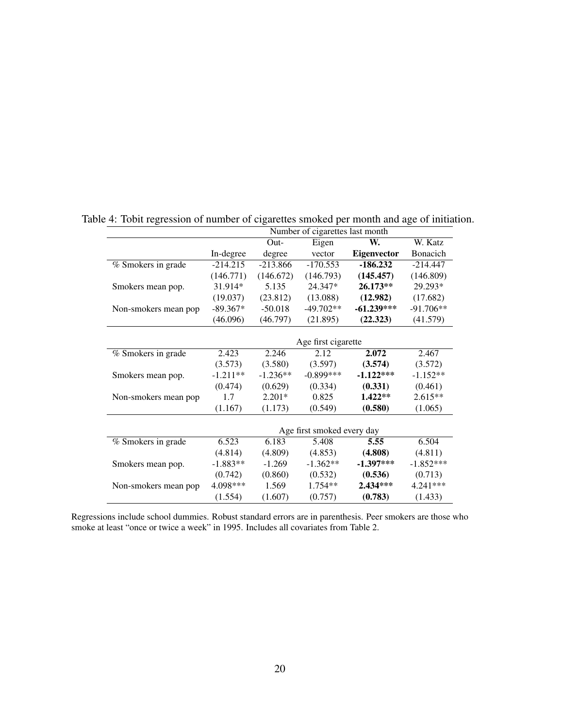|                      |                            |            | Number of cigarettes last month |                    |             |  |  |
|----------------------|----------------------------|------------|---------------------------------|--------------------|-------------|--|--|
|                      |                            | $Out-$     | Eigen                           | W.                 | W. Katz     |  |  |
|                      | In-degree                  | degree     | vector                          | <b>Eigenvector</b> | Bonacich    |  |  |
| % Smokers in grade   | $-214.215$                 | $-213.866$ | $-170.553$                      | $-186.232$         | $-214.447$  |  |  |
|                      | (146.771)                  | (146.672)  | (146.793)                       | (145.457)          | (146.809)   |  |  |
| Smokers mean pop.    | 31.914*                    | 5.135      | 24.347*                         | 26.173**           | 29.293*     |  |  |
|                      | (19.037)                   | (23.812)   | (13.088)                        | (12.982)           | (17.682)    |  |  |
| Non-smokers mean pop | $-89.367*$                 | $-50.018$  | $-49.702**$                     | $-61.239***$       | $-91.706**$ |  |  |
|                      | (46.096)                   | (46.797)   | (21.895)                        | (22.323)           | (41.579)    |  |  |
|                      |                            |            | Age first cigarette             |                    |             |  |  |
| % Smokers in grade   | 2.423                      | 2.246      | 2.12                            | 2.072              | 2.467       |  |  |
|                      | (3.573)                    | (3.580)    | (3.597)                         | (3.574)            | (3.572)     |  |  |
| Smokers mean pop.    | $-1.211**$                 | $-1.236**$ | $-0.899***$                     | $-1.122***$        | $-1.152**$  |  |  |
|                      | (0.474)                    | (0.629)    | (0.334)                         | (0.331)            | (0.461)     |  |  |
| Non-smokers mean pop | 1.7                        | $2.201*$   | 0.825                           | 1.422**            | 2.615**     |  |  |
|                      | (1.167)                    | (1.173)    | (0.549)                         | (0.580)            | (1.065)     |  |  |
|                      | Age first smoked every day |            |                                 |                    |             |  |  |
| % Smokers in grade   | 6.523                      | 6.183      | 5.408                           | 5.55               | 6.504       |  |  |
|                      | (4.814)                    | (4.809)    | (4.853)                         | (4.808)            | (4.811)     |  |  |
| Smokers mean pop.    | $-1.883**$                 | $-1.269$   | $-1.362**$                      | $-1.397***$        | $-1.852***$ |  |  |
|                      | (0.742)                    | (0.860)    | (0.532)                         | (0.536)            | (0.713)     |  |  |
| Non-smokers mean pop | 4.098***                   | 1.569      | 1.754**                         | 2.434***           | 4.241***    |  |  |
|                      | (1.554)                    | (1.607)    | (0.757)                         | (0.783)            | (1.433)     |  |  |

Table 4: Tobit regression of number of cigarettes smoked per month and age of initiation.

Regressions include school dummies. Robust standard errors are in parenthesis. Peer smokers are those who smoke at least "once or twice a week" in 1995. Includes all covariates from Table 2.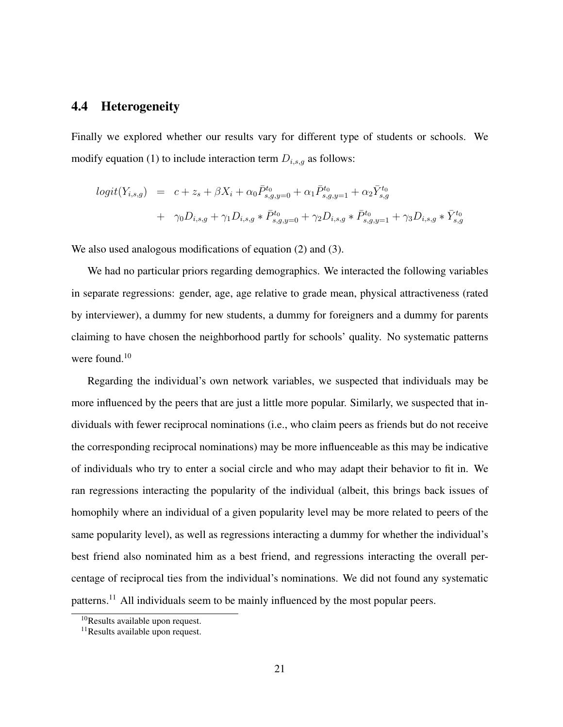#### 4.4 Heterogeneity

Finally we explored whether our results vary for different type of students or schools. We modify equation (1) to include interaction term  $D_{i,s,g}$  as follows:

$$
logit(Y_{i,s,g}) = c + z_s + \beta X_i + \alpha_0 \bar{P}_{s,g,y=0}^{t_0} + \alpha_1 \bar{P}_{s,g,y=1}^{t_0} + \alpha_2 \bar{Y}_{s,g}^{t_0}
$$
  
+  $\gamma_0 D_{i,s,g} + \gamma_1 D_{i,s,g} * \bar{P}_{s,g,y=0}^{t_0} + \gamma_2 D_{i,s,g} * \bar{P}_{s,g,y=1}^{t_0} + \gamma_3 D_{i,s,g} * \bar{Y}_{s,g}^{t_0}$ 

We also used analogous modifications of equation (2) and (3).

We had no particular priors regarding demographics. We interacted the following variables in separate regressions: gender, age, age relative to grade mean, physical attractiveness (rated by interviewer), a dummy for new students, a dummy for foreigners and a dummy for parents claiming to have chosen the neighborhood partly for schools' quality. No systematic patterns were found.<sup>10</sup>

Regarding the individual's own network variables, we suspected that individuals may be more influenced by the peers that are just a little more popular. Similarly, we suspected that individuals with fewer reciprocal nominations (i.e., who claim peers as friends but do not receive the corresponding reciprocal nominations) may be more influenceable as this may be indicative of individuals who try to enter a social circle and who may adapt their behavior to fit in. We ran regressions interacting the popularity of the individual (albeit, this brings back issues of homophily where an individual of a given popularity level may be more related to peers of the same popularity level), as well as regressions interacting a dummy for whether the individual's best friend also nominated him as a best friend, and regressions interacting the overall percentage of reciprocal ties from the individual's nominations. We did not found any systematic patterns.<sup>11</sup> All individuals seem to be mainly influenced by the most popular peers.

<sup>10</sup>Results available upon request.

<sup>11</sup>Results available upon request.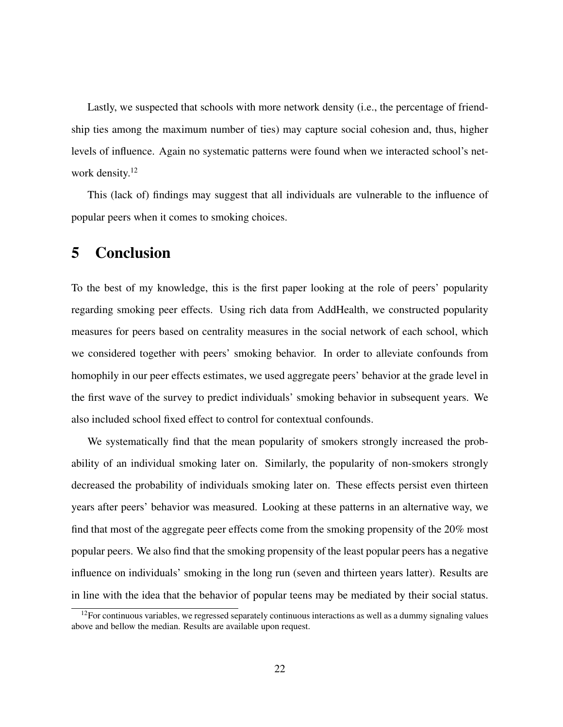Lastly, we suspected that schools with more network density (i.e., the percentage of friendship ties among the maximum number of ties) may capture social cohesion and, thus, higher levels of influence. Again no systematic patterns were found when we interacted school's network density.<sup>12</sup>

This (lack of) findings may suggest that all individuals are vulnerable to the influence of popular peers when it comes to smoking choices.

### 5 Conclusion

To the best of my knowledge, this is the first paper looking at the role of peers' popularity regarding smoking peer effects. Using rich data from AddHealth, we constructed popularity measures for peers based on centrality measures in the social network of each school, which we considered together with peers' smoking behavior. In order to alleviate confounds from homophily in our peer effects estimates, we used aggregate peers' behavior at the grade level in the first wave of the survey to predict individuals' smoking behavior in subsequent years. We also included school fixed effect to control for contextual confounds.

We systematically find that the mean popularity of smokers strongly increased the probability of an individual smoking later on. Similarly, the popularity of non-smokers strongly decreased the probability of individuals smoking later on. These effects persist even thirteen years after peers' behavior was measured. Looking at these patterns in an alternative way, we find that most of the aggregate peer effects come from the smoking propensity of the 20% most popular peers. We also find that the smoking propensity of the least popular peers has a negative influence on individuals' smoking in the long run (seven and thirteen years latter). Results are in line with the idea that the behavior of popular teens may be mediated by their social status.

 $12$  For continuous variables, we regressed separately continuous interactions as well as a dummy signaling values above and bellow the median. Results are available upon request.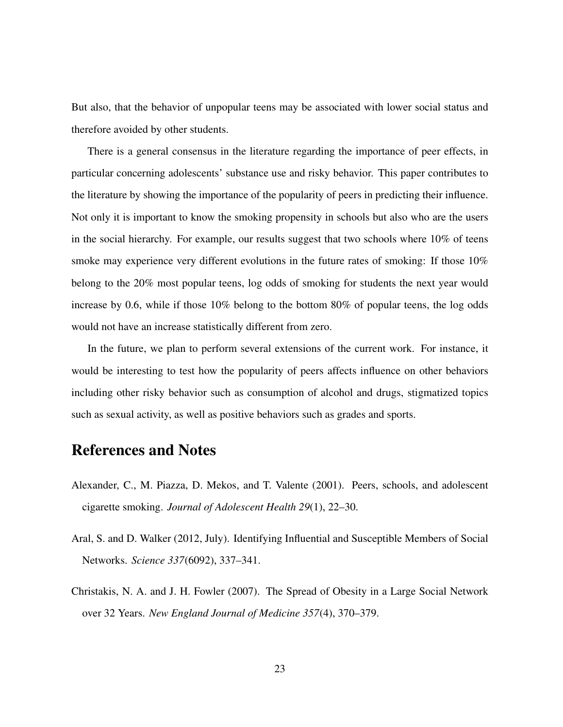But also, that the behavior of unpopular teens may be associated with lower social status and therefore avoided by other students.

There is a general consensus in the literature regarding the importance of peer effects, in particular concerning adolescents' substance use and risky behavior. This paper contributes to the literature by showing the importance of the popularity of peers in predicting their influence. Not only it is important to know the smoking propensity in schools but also who are the users in the social hierarchy. For example, our results suggest that two schools where 10% of teens smoke may experience very different evolutions in the future rates of smoking: If those 10% belong to the 20% most popular teens, log odds of smoking for students the next year would increase by 0.6, while if those 10% belong to the bottom 80% of popular teens, the log odds would not have an increase statistically different from zero.

In the future, we plan to perform several extensions of the current work. For instance, it would be interesting to test how the popularity of peers affects influence on other behaviors including other risky behavior such as consumption of alcohol and drugs, stigmatized topics such as sexual activity, as well as positive behaviors such as grades and sports.

## References and Notes

- Alexander, C., M. Piazza, D. Mekos, and T. Valente (2001). Peers, schools, and adolescent cigarette smoking. *Journal of Adolescent Health 29*(1), 22–30.
- Aral, S. and D. Walker (2012, July). Identifying Influential and Susceptible Members of Social Networks. *Science 337*(6092), 337–341.
- Christakis, N. A. and J. H. Fowler (2007). The Spread of Obesity in a Large Social Network over 32 Years. *New England Journal of Medicine 357*(4), 370–379.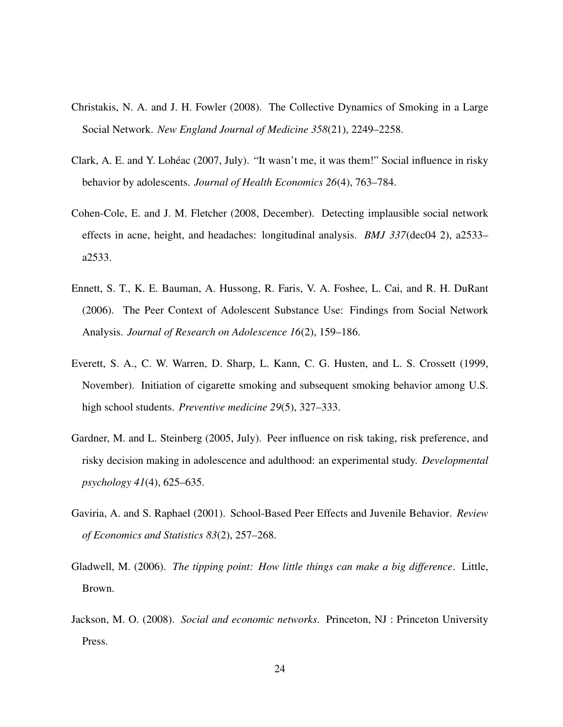- Christakis, N. A. and J. H. Fowler (2008). The Collective Dynamics of Smoking in a Large Social Network. *New England Journal of Medicine 358*(21), 2249–2258.
- Clark, A. E. and Y. Loheac (2007, July). "It wasn't me, it was them!" Social influence in risky ´ behavior by adolescents. *Journal of Health Economics 26*(4), 763–784.
- Cohen-Cole, E. and J. M. Fletcher (2008, December). Detecting implausible social network effects in acne, height, and headaches: longitudinal analysis. *BMJ 337*(dec04 2), a2533– a2533.
- Ennett, S. T., K. E. Bauman, A. Hussong, R. Faris, V. A. Foshee, L. Cai, and R. H. DuRant (2006). The Peer Context of Adolescent Substance Use: Findings from Social Network Analysis. *Journal of Research on Adolescence 16*(2), 159–186.
- Everett, S. A., C. W. Warren, D. Sharp, L. Kann, C. G. Husten, and L. S. Crossett (1999, November). Initiation of cigarette smoking and subsequent smoking behavior among U.S. high school students. *Preventive medicine 29*(5), 327–333.
- Gardner, M. and L. Steinberg (2005, July). Peer influence on risk taking, risk preference, and risky decision making in adolescence and adulthood: an experimental study. *Developmental psychology 41*(4), 625–635.
- Gaviria, A. and S. Raphael (2001). School-Based Peer Effects and Juvenile Behavior. *Review of Economics and Statistics 83*(2), 257–268.
- Gladwell, M. (2006). *The tipping point: How little things can make a big difference*. Little, Brown.
- Jackson, M. O. (2008). *Social and economic networks*. Princeton, NJ : Princeton University Press.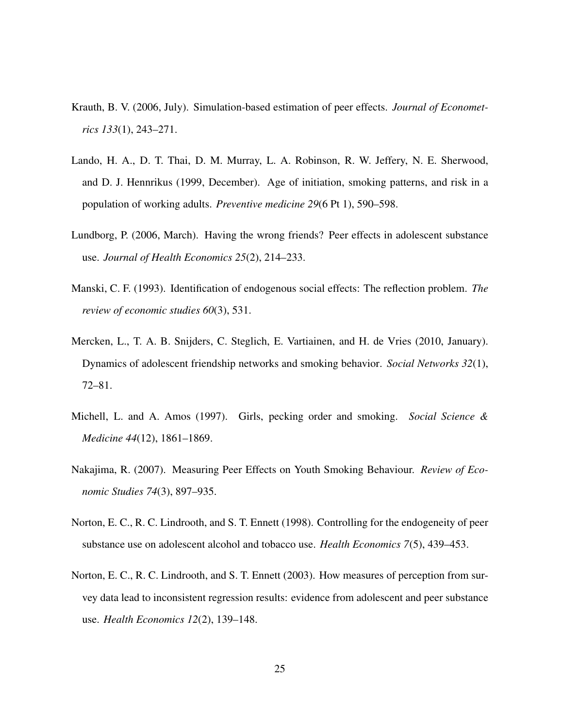- Krauth, B. V. (2006, July). Simulation-based estimation of peer effects. *Journal of Econometrics 133*(1), 243–271.
- Lando, H. A., D. T. Thai, D. M. Murray, L. A. Robinson, R. W. Jeffery, N. E. Sherwood, and D. J. Hennrikus (1999, December). Age of initiation, smoking patterns, and risk in a population of working adults. *Preventive medicine 29*(6 Pt 1), 590–598.
- Lundborg, P. (2006, March). Having the wrong friends? Peer effects in adolescent substance use. *Journal of Health Economics 25*(2), 214–233.
- Manski, C. F. (1993). Identification of endogenous social effects: The reflection problem. *The review of economic studies 60*(3), 531.
- Mercken, L., T. A. B. Snijders, C. Steglich, E. Vartiainen, and H. de Vries (2010, January). Dynamics of adolescent friendship networks and smoking behavior. *Social Networks 32*(1), 72–81.
- Michell, L. and A. Amos (1997). Girls, pecking order and smoking. *Social Science & Medicine 44*(12), 1861–1869.
- Nakajima, R. (2007). Measuring Peer Effects on Youth Smoking Behaviour. *Review of Economic Studies 74*(3), 897–935.
- Norton, E. C., R. C. Lindrooth, and S. T. Ennett (1998). Controlling for the endogeneity of peer substance use on adolescent alcohol and tobacco use. *Health Economics 7*(5), 439–453.
- Norton, E. C., R. C. Lindrooth, and S. T. Ennett (2003). How measures of perception from survey data lead to inconsistent regression results: evidence from adolescent and peer substance use. *Health Economics 12*(2), 139–148.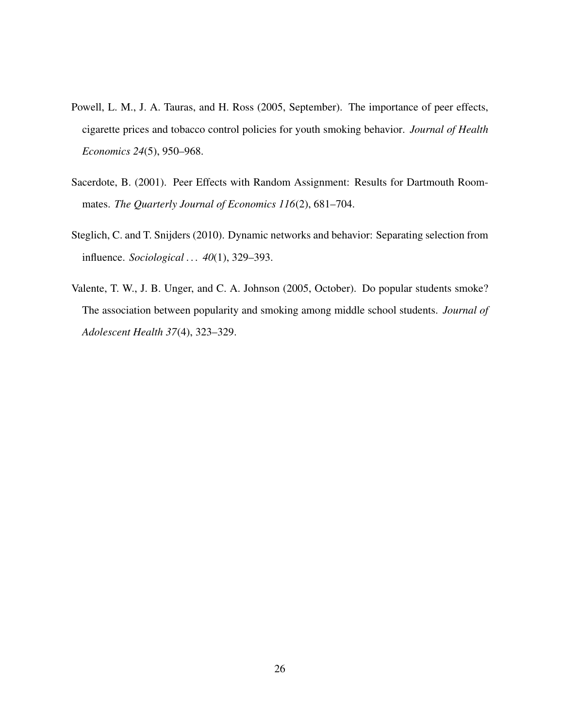- Powell, L. M., J. A. Tauras, and H. Ross (2005, September). The importance of peer effects, cigarette prices and tobacco control policies for youth smoking behavior. *Journal of Health Economics 24*(5), 950–968.
- Sacerdote, B. (2001). Peer Effects with Random Assignment: Results for Dartmouth Roommates. *The Quarterly Journal of Economics 116*(2), 681–704.
- Steglich, C. and T. Snijders (2010). Dynamic networks and behavior: Separating selection from influence. *Sociological . . . 40*(1), 329–393.
- Valente, T. W., J. B. Unger, and C. A. Johnson (2005, October). Do popular students smoke? The association between popularity and smoking among middle school students. *Journal of Adolescent Health 37*(4), 323–329.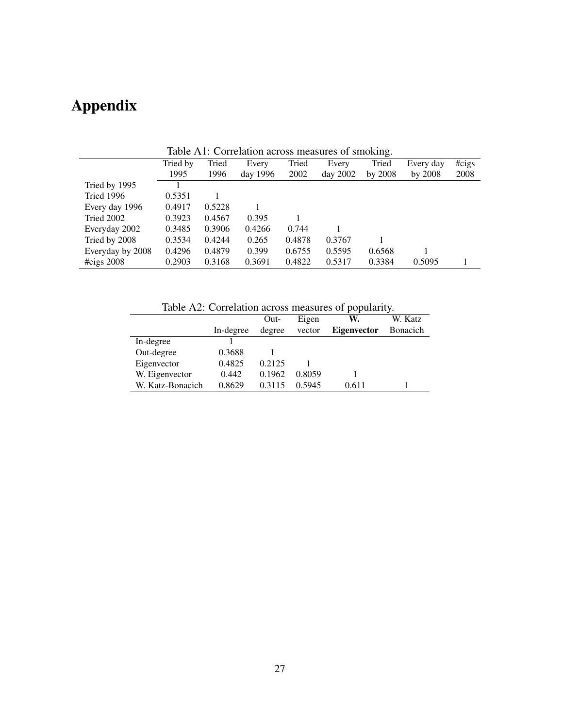# Appendix

|                        |          |        | Table A1: Correlation across measures of smoking. |        |          |           |           |       |
|------------------------|----------|--------|---------------------------------------------------|--------|----------|-----------|-----------|-------|
|                        | Tried by | Tried  | Every                                             | Tried  | Every    | Tried     | Every day | #cigs |
|                        | 1995     | 1996   | day 1996                                          | 2002   | day 2002 | by $2008$ | by $2008$ | 2008  |
| Tried by 1995          |          |        |                                                   |        |          |           |           |       |
| Tried 1996             | 0.5351   |        |                                                   |        |          |           |           |       |
| Every day 1996         | 0.4917   | 0.5228 |                                                   |        |          |           |           |       |
| Tried 2002             | 0.3923   | 0.4567 | 0.395                                             |        |          |           |           |       |
| Everyday 2002          | 0.3485   | 0.3906 | 0.4266                                            | 0.744  |          |           |           |       |
| Tried by 2008          | 0.3534   | 0.4244 | 0.265                                             | 0.4878 | 0.3767   |           |           |       |
| Everyday by 2008       | 0.4296   | 0.4879 | 0.399                                             | 0.6755 | 0.5595   | 0.6568    |           |       |
| $\# \text{cigs } 2008$ | 0.2903   | 0.3168 | 0.3691                                            | 0.4822 | 0.5317   | 0.3384    | 0.5095    |       |

Table A1: Correlation across measures of smoking.

Table A2: Correlation across measures of popularity.

|                  | Table A2. Correlation across measures or popularity. | Out-   | Eigen  | W.                 | W. Katz          |
|------------------|------------------------------------------------------|--------|--------|--------------------|------------------|
|                  | In-degree                                            | degree | vector | <b>Eigenvector</b> | <b>B</b> onacich |
| In-degree        |                                                      |        |        |                    |                  |
| Out-degree       | 0.3688                                               |        |        |                    |                  |
| Eigenvector      | 0.4825                                               | 0.2125 |        |                    |                  |
| W. Eigenvector   | 0.442                                                | 0.1962 | 0.8059 |                    |                  |
| W. Katz-Bonacich | 0.8629                                               | 0.3115 | 0.5945 | 0.611              |                  |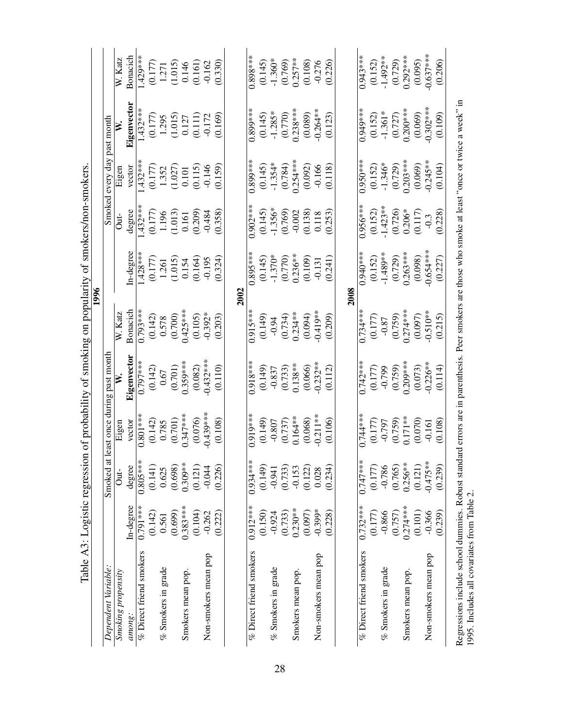|                                                                                                                                                                                                   | Tanic Ho: Togizine regressic |               |            | stay of the property of situational property of structures in the property of the | 1996                    |            |                         |                                                            |                         |                                                            |
|---------------------------------------------------------------------------------------------------------------------------------------------------------------------------------------------------|------------------------------|---------------|------------|-----------------------------------------------------------------------------------|-------------------------|------------|-------------------------|------------------------------------------------------------|-------------------------|------------------------------------------------------------|
| Dependent Variable:                                                                                                                                                                               |                              | Smoked at     |            | least once during past month                                                      |                         |            | Smoked                  | every day past month                                       |                         |                                                            |
| Smoking propensity                                                                                                                                                                                |                              | $\frac{1}{2}$ | Eigen      |                                                                                   | W. Katz                 |            | ä                       | Eigen                                                      |                         | W. Katz                                                    |
| comong:                                                                                                                                                                                           | In-degree                    | degree        | vector     | Eigenvector                                                                       | Bonacich                | In-degree  | degree                  | vector                                                     | Eigenvector             | Bonacich                                                   |
| % Direct friend smokers                                                                                                                                                                           | $0.791***$                   | $0.805***$    | $0.801**$  | $0.797**$                                                                         | $0.793***$              | $1.428**$  | $.432**$                | $.432***$                                                  | $1.432**$               | $.429***$                                                  |
|                                                                                                                                                                                                   | (0.142)                      | (0.141)       | (0.142)    | (0.142)                                                                           | $\frac{(0.142)}{0.578}$ | (0.177)    |                         | $\begin{array}{c} (0.177) \\ 1.352 \\ (1.027) \end{array}$ |                         |                                                            |
| % Smokers in grade                                                                                                                                                                                | 0.561                        | 0.625         | 0.785      | 0.67                                                                              |                         | 1.261      | $\frac{(0.177)}{1.196}$ |                                                            | $\frac{(0.177)}{1.295}$ |                                                            |
|                                                                                                                                                                                                   | (0.699)                      | (0.698)       | (0.701)    | (0.701)                                                                           | (0.700)                 | (1.015)    | (1.013)                 |                                                            | (1.015)                 | $\begin{array}{c} (0.177) \\ 1.271 \\ (1.015) \end{array}$ |
| Smokers mean pop.                                                                                                                                                                                 | $0.383***$                   | $0.309**$     | $0.347***$ | $0.359***$                                                                        | $0.425***$              | 0.154      | 0.161                   | $0.101\,$                                                  | 0.127                   | 0.146                                                      |
|                                                                                                                                                                                                   | (0.104)                      | (0.121)       | (0.076)    | (0.082)                                                                           | (0.105)                 | (0.164)    | (0.209)                 | (0.115)                                                    | (0.111)                 | (0.161)                                                    |
| Non-smokers mean pop                                                                                                                                                                              | $-0.262$                     | $-0.044$      | $0.439***$ | $0.432***$                                                                        | $-0.392*$               | $-0.195$   | $-0.484$                | $-0.146$                                                   | $-0.172$                | $-0.162$                                                   |
|                                                                                                                                                                                                   | (0.222)                      | (0.226)       | 0.108      | (0.110)                                                                           | (0.203)                 | (0.324)    | (0.358)                 | 0.159                                                      | (0.169)                 | (0.330)                                                    |
|                                                                                                                                                                                                   |                              |               |            |                                                                                   | <b>2002</b>             |            |                         |                                                            |                         |                                                            |
| % Direct friend smokers                                                                                                                                                                           | $0.912***$                   | $0.934***$    | $0.919***$ | 0.918**                                                                           | $0.915***$              | $0.895**$  | $0.902***$              | $0.899***$                                                 | 0.899**                 | $0.898**$                                                  |
|                                                                                                                                                                                                   | (0.150)                      | (0.149)       | (0.149)    | (0.149)                                                                           | (0.149)                 | (0.145)    |                         |                                                            | (0.145)                 | (0.145)                                                    |
| $%$ Smokers in grade                                                                                                                                                                              | $-0.924$                     | $-0.941$      | $-0.807$   | $-0.837$                                                                          | $-0.94$                 | $-1.370*$  | $(0.145)$<br>-1.356*    | $(0.145)$<br>-1.354*                                       | $-1.285*$               | $-1.360*$                                                  |
|                                                                                                                                                                                                   | (0.733)                      | (0.733)       | (0.737)    | (0.733)                                                                           | (0.734)                 | (0.770)    | (0.769)                 | (0.784)                                                    | (0.770)                 | (0.769)                                                    |
| Smokers mean pop.                                                                                                                                                                                 | $0.230***$                   | $-0.153$      | $0.164**$  | $0.138**$                                                                         | $0.234**$               | $0.236**$  | $-0.002$                | $0.254***$                                                 | $0.238***$              | $0.257**$                                                  |
|                                                                                                                                                                                                   | (0.097)                      | (0.122)       | (0.068)    | (0.066)                                                                           | (0.094)                 | (0.109)    | (0.138)                 | (0.092)                                                    | (0.089)                 | (0.108)                                                    |
| Non-smokers mean pop                                                                                                                                                                              | $-0.399*$                    | 0.028         | $-0.211**$ | $0.232**$                                                                         | $0.419**$               | $-0.131$   | 0.118                   | $-0.166$                                                   | $0.264**$               | $-0.276$                                                   |
|                                                                                                                                                                                                   | (0.228)                      | (0.234)       | (0.106)    | (0.112)                                                                           | (0.209)                 | (0.241)    | (0.253)                 | (0.118)                                                    | (0.123)                 | (0.226)                                                    |
|                                                                                                                                                                                                   |                              |               |            |                                                                                   |                         | 2008       |                         |                                                            |                         |                                                            |
| % Direct friend smokers                                                                                                                                                                           | $0.732***$                   | $0.747***$    | $0.744**$  | $0.742**$                                                                         | $0.734***$              | 1.940 **   | $0.956**$               | $0.950**$                                                  | 1.949**                 | $0.943**$                                                  |
|                                                                                                                                                                                                   | (0.177)                      | (0.177)       | (0.177)    | (0.177)                                                                           | (0.177)                 | (0.152)    | $(0.152)$<br>-1.423**   | $(0.152)$<br>-1.346*                                       |                         | (0.152)                                                    |
| % Smokers in grade                                                                                                                                                                                | $-0.866$                     | $-0.786$      | $-0.797$   | $-0.799$                                                                          | $-0.87$                 | $-1.489**$ |                         |                                                            | $(0.152)$<br>-1.361*    | $-1.492**$                                                 |
|                                                                                                                                                                                                   | (0.757)                      | (0.765)       | (0.759)    | (0.759)                                                                           | (0.759)                 | (0.729)    | (0.726)                 | (0.729)                                                    | (0.727)                 | (0.729)                                                    |
| Smokers mean pop.                                                                                                                                                                                 | $0.274***$                   | $0.256**$     | $0.171**$  | $0.209***$                                                                        | $0.274***$              | $0.263***$ | $0.206*$                | $0.203***$                                                 | $0.200***$              | $0.292***$                                                 |
|                                                                                                                                                                                                   | (0.101)                      | (0.121)       | (0.070)    | (0.073)                                                                           | (0.097)                 | (0.098)    | (0.117)                 | (0.069)                                                    | (0.069)                 | (0.095)                                                    |
| Non-smokers mean pop                                                                                                                                                                              | $-0.366$                     | $-0.475**$    | $-0.161$   | $0.226**$                                                                         | $0.510**$               | $0.654***$ | $-0.3$                  | $0.245**$                                                  | $0.302***$              | $0.637***$                                                 |
|                                                                                                                                                                                                   | (0.239)                      | (0.239)       | (0.108)    | (0.114)                                                                           | (0.215)                 | (0.227)    | (0.228)                 | (0.104)                                                    | (0.109)                 | (0.206)                                                    |
| Regressions include school dummies. Robust standard errors are in parenthesis. Peer smokers are those who smoke at least "once or twice a week" in<br>1995. Includes all covariates from Table 2. |                              |               |            |                                                                                   |                         |            |                         |                                                            |                         |                                                            |

Table A3: Logistic regression of probability of smoking on popularity of smokers/non-smokers. Table A3: Logistic regression of probability of smoking on popularity of smokers/non-smokers.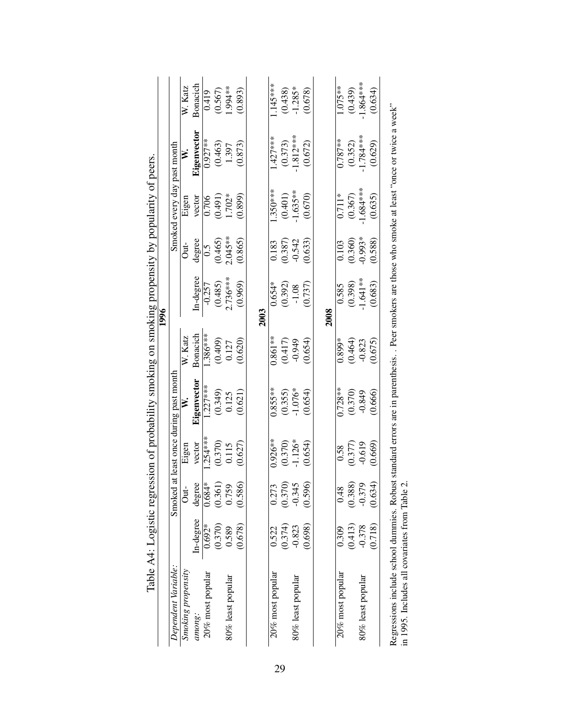|                                                                                                                                                 |           | $\mathfrak{g}$ |                      |                                        |            | 1996       |                   |                             |             |            |
|-------------------------------------------------------------------------------------------------------------------------------------------------|-----------|----------------|----------------------|----------------------------------------|------------|------------|-------------------|-----------------------------|-------------|------------|
| Dependent Variable:                                                                                                                             |           |                |                      | Smoked at least once during past month |            |            |                   | Smoked every day past month |             |            |
| Smoking propensity                                                                                                                              |           | Ö              | Eigen                | ≢                                      | W. Katz    |            | Jut-              | Eigen                       | ≱           | W. Katz    |
| among:                                                                                                                                          | In-degree | degree         | vector               | Eigenvector                            | Bonacich   | In-degree  | degree            | vector                      | Eigenvector | Bonacich   |
| 20% most popular                                                                                                                                | $0.692*$  | $0.684*$       | $.254***$            | $1.227***$                             | $1.386***$ | $-0.257$   | $\widetilde{0}$ . | 0.706                       | $0.927**$   | 0.419      |
|                                                                                                                                                 | (0.370)   | (0.361)        | (0.370)              | (0.349)                                | (0.409)    | (0.485)    | (0.465)           | (0.491)                     | (0.463)     | (0.567)    |
| 80% least popular                                                                                                                               | 0.589     | 0.759          | 0.115                | 0.125                                  | 0.127      | $2.736***$ | $2.045**$         | 1.702*                      | 1.397       | $1.994***$ |
|                                                                                                                                                 | (0.678)   | (0.586)        | (0.627)              | (0.621)                                | (0.620)    | (0.969)    | (0.865)           | 0.899                       | (0.873)     | (0.893)    |
|                                                                                                                                                 |           |                |                      |                                        |            | 2003       |                   |                             |             |            |
| 20% most popular                                                                                                                                | 0.522     | 0.273          | $0.926**$            | $0.855***$                             | $0.861**$  | $0.654*$   | 0.183             | $1.350***$                  | $1.427***$  | 145****    |
|                                                                                                                                                 | (0.374)   | (0.370)        |                      | (0.355)                                | (0.417)    | (0.392)    | (0.387)           | (0.401)                     | (0.373)     | (0.438)    |
| 80% least popular                                                                                                                               | $-0.823$  | $-0.34$        | $(0.370)$<br>-1.126* | $-1.076*$                              | $-0.949$   | $-1.08$    | $-0.542$          | $1.635**$                   | $-1.812***$ | $-1.285*$  |
|                                                                                                                                                 | (0.698)   | (0.596)        | (0.654)              | (0.654)                                | (0.654)    | (0.737)    | 0.633             | (0.670)                     | (0.672)     | (0.678)    |
|                                                                                                                                                 |           |                |                      |                                        |            | 2008       |                   |                             |             |            |
| 20% most popular                                                                                                                                | 0.309     | 0.48           | 0.58                 | $0.728**$                              | $0.899*$   | 0.585      | 0.103             | $0.711*$                    | $0.787**$   | $1.075**$  |
|                                                                                                                                                 |           |                |                      |                                        |            |            |                   |                             |             |            |
|                                                                                                                                                 | (0.413)   | (0.388)        | (0.377)              | (0.370)                                | (0.464)    | (0.398)    | (0.360)           | (0.367)                     | (0.352)     | (0.439)    |
| 80% least popular                                                                                                                               | $-0.378$  | $-0.379$       | $-0.619$             | $-0.849$                               | $-0.823$   | $1.641**$  | <sup>*566</sup> 0 | $1.684***$                  | $-1.784***$ | 1.864 ***  |
|                                                                                                                                                 | (0.718)   | (0.634)        | (0.669)              | 0.666                                  | (0.675)    | (0.683)    | (0.588)           | (0.635)                     | (0.629)     | (0.634)    |
| Regressions include school dummies. Robust standard errors are in parenthesis. Peer smokers are those who smoke at least "once or twice a week" |           |                |                      |                                        |            |            |                   |                             |             |            |

| l                               |
|---------------------------------|
|                                 |
|                                 |
|                                 |
|                                 |
| こうしょう こうしょく うくうくうしょう しょうしょく うくり |
|                                 |
|                                 |
|                                 |
|                                 |
|                                 |
|                                 |
|                                 |
|                                 |
|                                 |
|                                 |
| I                               |

Regressions include school dummies. Robust standard errors are in parenthesis. . Peer smokers are those who smoke at least "once or twice a week" in 1995. Includes all covariates from Table 2. in 1995. Includes all covariates from Table 2.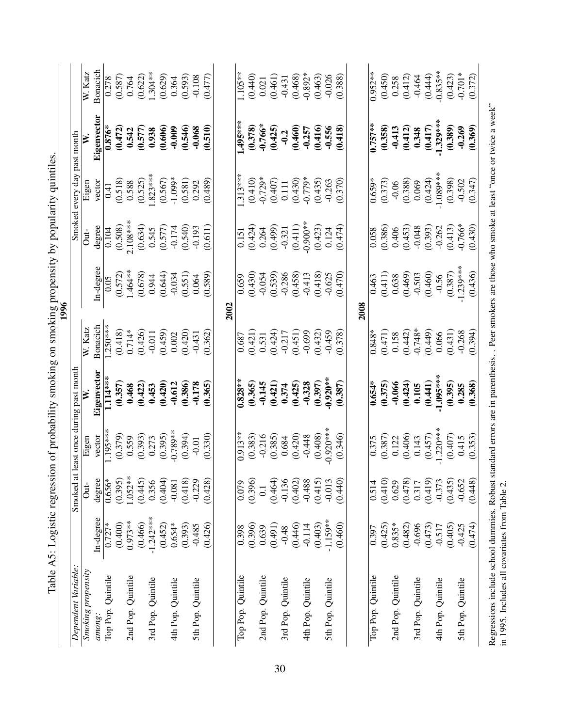| Smoked at least once during past month<br>Eigenvector<br>$-0.920**$<br>$1.114***$<br>(0.397)<br>(0.357)<br>(0.420)<br>$0.828**$<br>(0.421)<br>(0.425)<br>$-0.328$<br>$-0.612$<br>(0.386)<br>(0.365)<br>-0.145<br>(0.387)<br>$0.654*$<br>(0.422)<br>$-0.178$<br>0.374<br>0.468<br>0.453<br>(0.365)<br>$-0.920***$<br>$-0.789**$<br>1.195**<br>(0.379)<br>(0.393)<br>(0.395)<br>(0.385)<br>(0.420)<br>(0.408)<br>(0.394)<br>$0.913**$<br>(0.383)<br>$-0.216$<br>(0.346)<br>vector<br>(0.330)<br>$-0.448$<br>Eigen<br>0.684<br>0.559<br>0.273<br>0.375<br>$-0.01$<br>$0.656*$<br>$1.052**$<br>(0.464)<br>(0.402)<br>(0.395)<br>(0.404)<br>$-0.136$<br>(0.445)<br>degree<br>(0.396)<br>(0.415)<br>(0.418)<br>$-0.488$<br>0.356<br>$-0.229$<br>(0.428)<br>$-0.013$<br>(0.440)<br>$-0.081$<br>0.514<br>0.079<br>$\frac{1}{2}$<br>$\overline{0}$ .<br>$-1.242***$<br>In-degree<br>$-1.159***$<br>$0.973***$<br>(0.400)<br>(0.466)<br>(0.396)<br>(0.491)<br>(0.403)<br>$0.727*$<br>(0.452)<br>$0.654*$<br>(0.393)<br>(0.426)<br>(0.446)<br>(0.460)<br>$-0.114$<br>$-0.485$<br>0.639<br>0.398<br>$-0.48$<br>0.397<br>Dependent Variable:<br>Smoking propensity<br>Top Pop. Quintile<br>2nd Pop. Quintile<br>Top Pop. Quintile<br>Top Pop. Quintile<br>2nd Pop. Quintile<br>3rd Pop. Quintile<br>3rd Pop. Quintile<br>4th Pop. Quintile<br>5th Pop. Quintile<br>5th Pop. Quintile<br>4th Pop. Quintile<br>among: |                    | 2002<br>Bonacich<br>$1.250***$<br>W. Katz<br>(0.418)<br>$0.714*$<br>(0.426)<br>(0.421)<br>(0.459)<br>(0.420)<br>(0.362)<br>$-0.011$<br>$-0.431$<br>0.002<br>0.687 | In-degree<br>1.464 **<br>(0.644)<br>(0.572)<br>(0.678)<br>$-0.034$<br>0.944<br>0.05 | Smoked<br>degree<br>0.104<br>$\frac{1}{\sigma}$ | every day past month<br>vector<br>Eigen |             | W. Katz    |
|--------------------------------------------------------------------------------------------------------------------------------------------------------------------------------------------------------------------------------------------------------------------------------------------------------------------------------------------------------------------------------------------------------------------------------------------------------------------------------------------------------------------------------------------------------------------------------------------------------------------------------------------------------------------------------------------------------------------------------------------------------------------------------------------------------------------------------------------------------------------------------------------------------------------------------------------------------------------------------------------------------------------------------------------------------------------------------------------------------------------------------------------------------------------------------------------------------------------------------------------------------------------------------------------------------------------------------------------------------------------------------------------------------|--------------------|-------------------------------------------------------------------------------------------------------------------------------------------------------------------|-------------------------------------------------------------------------------------|-------------------------------------------------|-----------------------------------------|-------------|------------|
|                                                                                                                                                                                                                                                                                                                                                                                                                                                                                                                                                                                                                                                                                                                                                                                                                                                                                                                                                                                                                                                                                                                                                                                                                                                                                                                                                                                                        |                    |                                                                                                                                                                   |                                                                                     |                                                 |                                         |             |            |
|                                                                                                                                                                                                                                                                                                                                                                                                                                                                                                                                                                                                                                                                                                                                                                                                                                                                                                                                                                                                                                                                                                                                                                                                                                                                                                                                                                                                        |                    |                                                                                                                                                                   |                                                                                     |                                                 |                                         | Eigenvector | Bonacich   |
|                                                                                                                                                                                                                                                                                                                                                                                                                                                                                                                                                                                                                                                                                                                                                                                                                                                                                                                                                                                                                                                                                                                                                                                                                                                                                                                                                                                                        |                    |                                                                                                                                                                   |                                                                                     |                                                 | 0.41                                    | $0.876*$    | 0.278      |
|                                                                                                                                                                                                                                                                                                                                                                                                                                                                                                                                                                                                                                                                                                                                                                                                                                                                                                                                                                                                                                                                                                                                                                                                                                                                                                                                                                                                        |                    |                                                                                                                                                                   |                                                                                     | (0.508)                                         | (0.518)                                 | (0.472)     | (0.587)    |
|                                                                                                                                                                                                                                                                                                                                                                                                                                                                                                                                                                                                                                                                                                                                                                                                                                                                                                                                                                                                                                                                                                                                                                                                                                                                                                                                                                                                        |                    |                                                                                                                                                                   |                                                                                     | $2.108***$                                      | 0.588                                   | 0.542       | 0.764      |
|                                                                                                                                                                                                                                                                                                                                                                                                                                                                                                                                                                                                                                                                                                                                                                                                                                                                                                                                                                                                                                                                                                                                                                                                                                                                                                                                                                                                        |                    |                                                                                                                                                                   |                                                                                     | (0.634)                                         | (0.525)                                 | (0.577)     | (0.622)    |
|                                                                                                                                                                                                                                                                                                                                                                                                                                                                                                                                                                                                                                                                                                                                                                                                                                                                                                                                                                                                                                                                                                                                                                                                                                                                                                                                                                                                        |                    |                                                                                                                                                                   |                                                                                     | 0.545                                           | $1.823***$                              | 0.938       | 1.304**    |
|                                                                                                                                                                                                                                                                                                                                                                                                                                                                                                                                                                                                                                                                                                                                                                                                                                                                                                                                                                                                                                                                                                                                                                                                                                                                                                                                                                                                        |                    |                                                                                                                                                                   |                                                                                     | (0.577)                                         | (0.567)                                 | (0.606)     | (0.629)    |
|                                                                                                                                                                                                                                                                                                                                                                                                                                                                                                                                                                                                                                                                                                                                                                                                                                                                                                                                                                                                                                                                                                                                                                                                                                                                                                                                                                                                        |                    |                                                                                                                                                                   |                                                                                     | $-0.174$                                        | $-1.099*$                               | $-0.009$    | 0.364      |
|                                                                                                                                                                                                                                                                                                                                                                                                                                                                                                                                                                                                                                                                                                                                                                                                                                                                                                                                                                                                                                                                                                                                                                                                                                                                                                                                                                                                        |                    |                                                                                                                                                                   | (0.551)                                                                             | (0.540)                                         | (0.581)                                 | (0.546)     | (0.593)    |
|                                                                                                                                                                                                                                                                                                                                                                                                                                                                                                                                                                                                                                                                                                                                                                                                                                                                                                                                                                                                                                                                                                                                                                                                                                                                                                                                                                                                        |                    |                                                                                                                                                                   | 0.064                                                                               | $-0.193$                                        | 0.292                                   | $-0.068$    | $-0.108$   |
|                                                                                                                                                                                                                                                                                                                                                                                                                                                                                                                                                                                                                                                                                                                                                                                                                                                                                                                                                                                                                                                                                                                                                                                                                                                                                                                                                                                                        |                    |                                                                                                                                                                   | (0.589)                                                                             | (0.611)                                         | (0.489)                                 | (0.510)     | (0.477)    |
|                                                                                                                                                                                                                                                                                                                                                                                                                                                                                                                                                                                                                                                                                                                                                                                                                                                                                                                                                                                                                                                                                                                                                                                                                                                                                                                                                                                                        |                    |                                                                                                                                                                   |                                                                                     |                                                 |                                         |             |            |
|                                                                                                                                                                                                                                                                                                                                                                                                                                                                                                                                                                                                                                                                                                                                                                                                                                                                                                                                                                                                                                                                                                                                                                                                                                                                                                                                                                                                        |                    |                                                                                                                                                                   | 0.659                                                                               | 0.151                                           | $1.313***$                              | $1.495***$  | $1.105**$  |
|                                                                                                                                                                                                                                                                                                                                                                                                                                                                                                                                                                                                                                                                                                                                                                                                                                                                                                                                                                                                                                                                                                                                                                                                                                                                                                                                                                                                        |                    |                                                                                                                                                                   | (0.430)                                                                             | (0.424)                                         | (0.410)                                 | (0.378)     | (0.440)    |
|                                                                                                                                                                                                                                                                                                                                                                                                                                                                                                                                                                                                                                                                                                                                                                                                                                                                                                                                                                                                                                                                                                                                                                                                                                                                                                                                                                                                        |                    | 0.531                                                                                                                                                             | $-0.054$                                                                            | 0.264                                           | $-0.729*$                               | $-0.766*$   | 0.021      |
|                                                                                                                                                                                                                                                                                                                                                                                                                                                                                                                                                                                                                                                                                                                                                                                                                                                                                                                                                                                                                                                                                                                                                                                                                                                                                                                                                                                                        |                    | (0.424)                                                                                                                                                           | (0.539)                                                                             | (664.0)                                         | (0.407)                                 | (0.425)     | (0.461)    |
|                                                                                                                                                                                                                                                                                                                                                                                                                                                                                                                                                                                                                                                                                                                                                                                                                                                                                                                                                                                                                                                                                                                                                                                                                                                                                                                                                                                                        |                    | $-0.217$                                                                                                                                                          | $-0.286$                                                                            | $-0.321$                                        | 0.111                                   | $-0.2$      | $-0.431$   |
|                                                                                                                                                                                                                                                                                                                                                                                                                                                                                                                                                                                                                                                                                                                                                                                                                                                                                                                                                                                                                                                                                                                                                                                                                                                                                                                                                                                                        |                    | (0.451)                                                                                                                                                           | (0.458)                                                                             | (0.411)                                         | (0.430)                                 | (0.460)     | (0.468)    |
|                                                                                                                                                                                                                                                                                                                                                                                                                                                                                                                                                                                                                                                                                                                                                                                                                                                                                                                                                                                                                                                                                                                                                                                                                                                                                                                                                                                                        |                    | $-0.699$                                                                                                                                                          | $-0.413$                                                                            | $-0.900**$                                      | $-0.779*$                               | $-0.257$    | $-0.892*$  |
|                                                                                                                                                                                                                                                                                                                                                                                                                                                                                                                                                                                                                                                                                                                                                                                                                                                                                                                                                                                                                                                                                                                                                                                                                                                                                                                                                                                                        |                    | (0.432)                                                                                                                                                           | (0.418)                                                                             | (0.423)                                         | (0.435)                                 | (0.416)     | (0.463)    |
|                                                                                                                                                                                                                                                                                                                                                                                                                                                                                                                                                                                                                                                                                                                                                                                                                                                                                                                                                                                                                                                                                                                                                                                                                                                                                                                                                                                                        |                    | $-0.459$                                                                                                                                                          | $-0.625$                                                                            | 0.124                                           | $-0.263$                                | $-0.556$    | $-0.026$   |
|                                                                                                                                                                                                                                                                                                                                                                                                                                                                                                                                                                                                                                                                                                                                                                                                                                                                                                                                                                                                                                                                                                                                                                                                                                                                                                                                                                                                        |                    | (0.378)                                                                                                                                                           | (0.470)                                                                             | (0.474)                                         | (0.370)                                 | (0.418)     | (0.388)    |
|                                                                                                                                                                                                                                                                                                                                                                                                                                                                                                                                                                                                                                                                                                                                                                                                                                                                                                                                                                                                                                                                                                                                                                                                                                                                                                                                                                                                        |                    | 2008                                                                                                                                                              |                                                                                     |                                                 |                                         |             |            |
|                                                                                                                                                                                                                                                                                                                                                                                                                                                                                                                                                                                                                                                                                                                                                                                                                                                                                                                                                                                                                                                                                                                                                                                                                                                                                                                                                                                                        |                    | $0.848*$                                                                                                                                                          | 0.463                                                                               | 0.058                                           | $0.659*$                                | $0.757**$   | $0.952**$  |
| (0.410)<br>(0.425)                                                                                                                                                                                                                                                                                                                                                                                                                                                                                                                                                                                                                                                                                                                                                                                                                                                                                                                                                                                                                                                                                                                                                                                                                                                                                                                                                                                     | (0.375)<br>(0.387) | (0.471)                                                                                                                                                           | (0.411)                                                                             | (0.386)                                         | (0.373)                                 | (0.358)     | (0.450)    |
| -0.066<br>0.122<br>0.629<br>$0.835*$<br>2nd Pop. Quintile                                                                                                                                                                                                                                                                                                                                                                                                                                                                                                                                                                                                                                                                                                                                                                                                                                                                                                                                                                                                                                                                                                                                                                                                                                                                                                                                              |                    | 0.158                                                                                                                                                             | 0.638                                                                               | 0.406                                           | $-0.06$                                 | $-0.413$    | 0.258      |
| (0.424)<br>(0.406)<br>(0.478)<br>(0.482)                                                                                                                                                                                                                                                                                                                                                                                                                                                                                                                                                                                                                                                                                                                                                                                                                                                                                                                                                                                                                                                                                                                                                                                                                                                                                                                                                               |                    | (0.442)                                                                                                                                                           | (0.469)                                                                             | (0.453)                                         | (0.388)                                 | (0.412)     | (0.412)    |
| 0.105<br>0.143<br>0.317<br>$-0.696$<br>3rd Pop. Quintile                                                                                                                                                                                                                                                                                                                                                                                                                                                                                                                                                                                                                                                                                                                                                                                                                                                                                                                                                                                                                                                                                                                                                                                                                                                                                                                                               |                    | $-0.748*$                                                                                                                                                         | $-0.503$                                                                            | $-0.048$                                        | 0.069                                   | 0.348       | $-0.464$   |
| (0.441)<br>(0.457)<br>(0.419)<br>(0.473)                                                                                                                                                                                                                                                                                                                                                                                                                                                                                                                                                                                                                                                                                                                                                                                                                                                                                                                                                                                                                                                                                                                                                                                                                                                                                                                                                               |                    | (0.449)                                                                                                                                                           | (0.460)                                                                             | (0.393)                                         | (0.424)                                 | (0.417)     | (0.444)    |
| -1.095***<br>$-1.220***$<br>$-0.373$<br>$-0.517$<br>4th Pop. Quintile                                                                                                                                                                                                                                                                                                                                                                                                                                                                                                                                                                                                                                                                                                                                                                                                                                                                                                                                                                                                                                                                                                                                                                                                                                                                                                                                  |                    | 0.066                                                                                                                                                             | $-0.56$                                                                             | $-0.262$                                        | $-1.089***$                             | $-1.329***$ | $-0.835**$ |
| (0.395)<br>(0.407)<br>(0.435)<br>(0.405)                                                                                                                                                                                                                                                                                                                                                                                                                                                                                                                                                                                                                                                                                                                                                                                                                                                                                                                                                                                                                                                                                                                                                                                                                                                                                                                                                               |                    | (0.431)                                                                                                                                                           | (0.387)                                                                             | (0.413)                                         | (0.398)                                 | (0.389)     | (0.423)    |
| 0.285<br>0.415<br>$-0.652$<br>$-0.425$<br>5th Pop. Quintile                                                                                                                                                                                                                                                                                                                                                                                                                                                                                                                                                                                                                                                                                                                                                                                                                                                                                                                                                                                                                                                                                                                                                                                                                                                                                                                                            |                    | $-0.268$                                                                                                                                                          | $-1.239***$                                                                         | $-0.766*$                                       | $-0.502$                                | $-0.269$    | $-0.701*$  |
| (0.368)<br>(0.353)<br>(0.448)<br>(0.474)                                                                                                                                                                                                                                                                                                                                                                                                                                                                                                                                                                                                                                                                                                                                                                                                                                                                                                                                                                                                                                                                                                                                                                                                                                                                                                                                                               |                    | (0.394)                                                                                                                                                           | (0.436)                                                                             | (0.430)                                         | (0.347)                                 | (0.369)     | (0.372)    |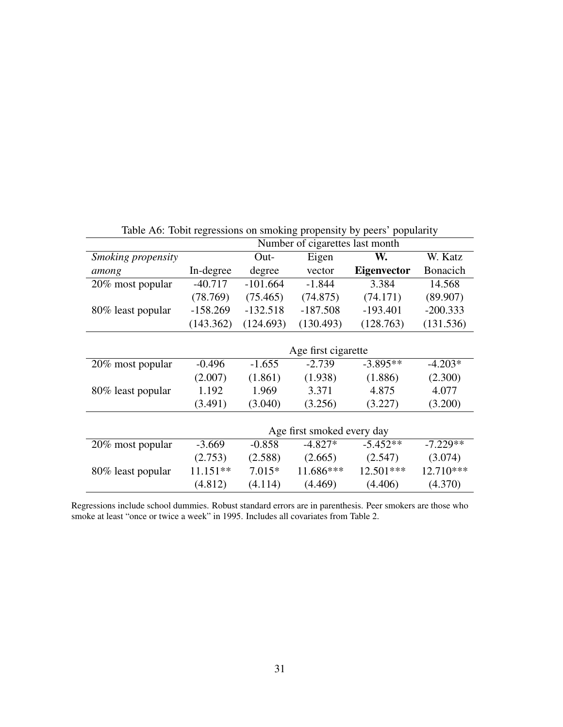|                    |            |            | Number of cigarettes last month | ັ່                 |                 |
|--------------------|------------|------------|---------------------------------|--------------------|-----------------|
| Smoking propensity |            | Out-       | Eigen                           | W.                 | W. Katz         |
| among              | In-degree  | degree     | vector                          | <b>Eigenvector</b> | <b>Bonacich</b> |
| 20% most popular   | $-40.717$  | $-101.664$ | $-1.844$                        | 3.384              | 14.568          |
|                    | (78.769)   | (75.465)   | (74.875)                        | (74.171)           | (89.907)        |
| 80% least popular  | $-158.269$ | $-132.518$ | $-187.508$                      | $-193.401$         | $-200.333$      |
|                    | (143.362)  | (124.693)  | (130.493)                       | (128.763)          | (131.536)       |
|                    |            |            |                                 |                    |                 |
|                    |            |            | Age first cigarette             |                    |                 |
| 20% most popular   | $-0.496$   | $-1.655$   | $-2.739$                        | $-3.895**$         | $-4.203*$       |
|                    | (2.007)    | (1.861)    | (1.938)                         | (1.886)            | (2.300)         |
| 80% least popular  | 1.192      | 1.969      | 3.371                           | 4.875              | 4.077           |
|                    | (3.491)    | (3.040)    | (3.256)                         | (3.227)            | (3.200)         |
|                    |            |            |                                 |                    |                 |
|                    |            |            | Age first smoked every day      |                    |                 |
| 20% most popular   | $-3.669$   | $-0.858$   | $-4.827*$                       | $-5.452**$         | $-7.229**$      |
|                    | (2.753)    | (2.588)    | (2.665)                         | (2.547)            | (3.074)         |
| 80% least popular  | $11.151**$ | $7.015*$   | 11.686***                       | 12.501***          | 12.710***       |
|                    | (4.812)    | (4.114)    | (4.469)                         | (4.406)            | (4.370)         |

Table A6: Tobit regressions on smoking propensity by peers' popularity

Regressions include school dummies. Robust standard errors are in parenthesis. Peer smokers are those who smoke at least "once or twice a week" in 1995. Includes all covariates from Table 2.